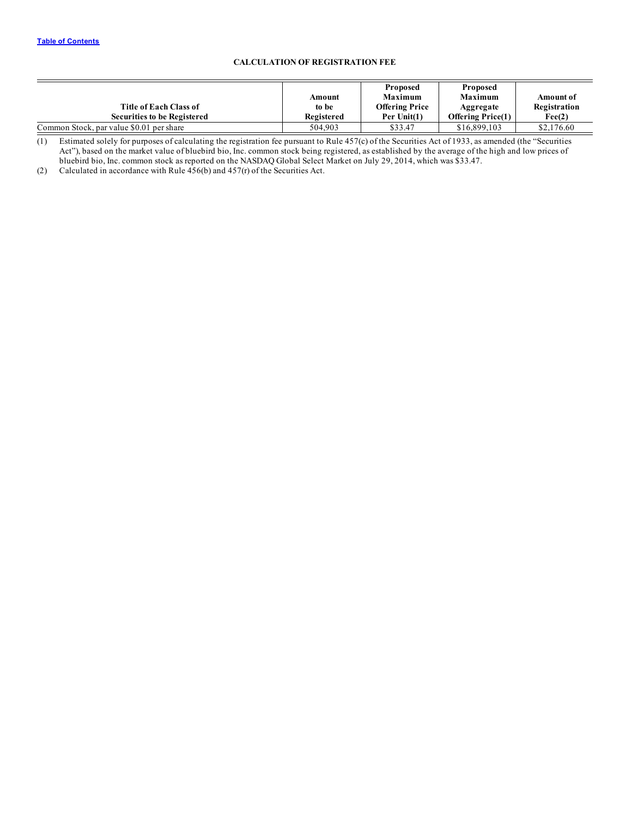# **CALCULATION OF REGISTRATION FEE**

| Title of Each Class of<br><b>Securities to be Registered</b> | Amount<br>to be<br>Registered | <b>Proposed</b><br><b>Maximum</b><br><b>Offering Price</b><br>Per Unit(1) | <b>Proposed</b><br><b>Maximum</b><br>Aggregate<br><b>Offering Price(1)</b> | Amount of<br>Registration<br>Fee(2) |
|--------------------------------------------------------------|-------------------------------|---------------------------------------------------------------------------|----------------------------------------------------------------------------|-------------------------------------|
|                                                              |                               |                                                                           |                                                                            |                                     |
| Common Stock, par value \$0.01 per share                     | 504.903                       | \$33.47                                                                   | \$16,899,103                                                               | \$2,176.60                          |

(1) Estimated solely for purposes of calculating the registration fee pursuant to Rule 457(c) of the Securities Act of 1933, as amended (the "Securities Act"), based on the market value of bluebird bio, Inc. common stock being registered, as established by the average of the high and low prices of bluebird bio, Inc. common stock as reported on the NASDAQ Global Select Market on July 29, 2014, which was \$33.47.

(2) Calculated in accordance with Rule  $456(b)$  and  $457(r)$  of the Securities Act.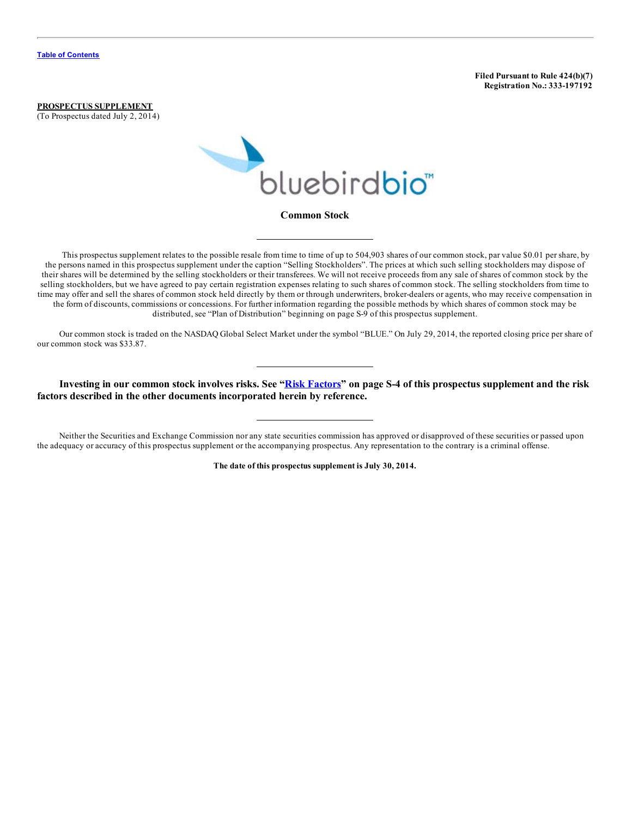**Filed Pursuant to Rule 424(b)(7) Registration No.: 333-197192**

**PROSPECTUS SUPPLEMENT** (To Prospectus dated July 2, 2014)



This prospectus supplement relates to the possible resale from time to time of up to 504,903 shares of our common stock, par value \$0.01 per share, by the persons named in this prospectus supplement under the caption "Selling Stockholders". The prices at which such selling stockholders may dispose of their shares will be determined by the selling stockholders or their transferees. We will not receive proceeds from any sale of shares of common stock by the selling stockholders, but we have agreed to pay certain registration expenses relating to such shares of common stock. The selling stockholders from time to time may offer and sell the shares of common stock held directly by them or through underwriters, broker-dealers or agents, who may receive compensation in the form of discounts, commissions or concessions. For further information regarding the possible methods by which shares of common stock may be distributed, see "Plan of Distribution" beginning on page S-9 of this prospectus supplement.

Our common stock is traded on the NASDAQ Global Select Market under the symbol "BLUE." On July 29, 2014, the reported closing price per share of our common stock was \$33.87.

Investing in our common stock involves risks. See "Risk [Factors](#page-6-0)" on page S-4 of this prospectus supplement and the risk **factors described in the other documents incorporated herein by reference.**

Neither the Securities and Exchange Commission nor any state securities commission has approved or disapproved of these securities or passed upon the adequacy or accuracy of this prospectus supplement or the accompanying prospectus. Any representation to the contrary is a criminal offense.

**The date of this prospectus supplement is July 30, 2014.**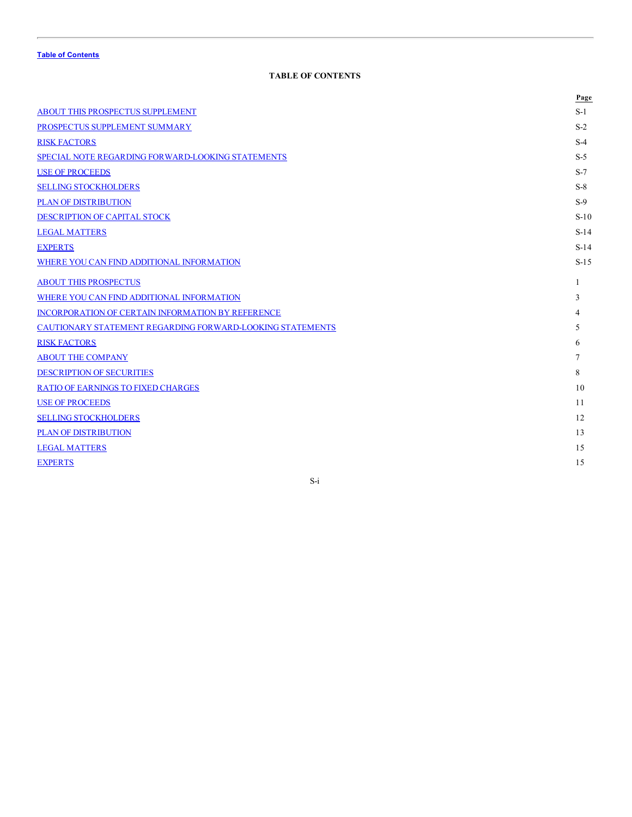# **TABLE OF CONTENTS**

<span id="page-2-0"></span>

|                                                           | Page   |
|-----------------------------------------------------------|--------|
| ABOUT THIS PROSPECTUS SUPPLEMENT                          | $S-1$  |
| PROSPECTUS SUPPLEMENT SUMMARY                             | $S-2$  |
| <b>RISK FACTORS</b>                                       | $S-4$  |
| SPECIAL NOTE REGARDING FORWARD-LOOKING STATEMENTS         | $S-5$  |
| <b>USE OF PROCEEDS</b>                                    | $S-7$  |
| <b>SELLING STOCKHOLDERS</b>                               | $S-8$  |
| <b>PLAN OF DISTRIBUTION</b>                               | $S-9$  |
| DESCRIPTION OF CAPITAL STOCK                              | $S-10$ |
| <b>LEGAL MATTERS</b>                                      | $S-14$ |
| <b>EXPERTS</b>                                            | $S-14$ |
| WHERE YOU CAN FIND ADDITIONAL INFORMATION                 | $S-15$ |
| <b>ABOUT THIS PROSPECTUS</b>                              | 1      |
| WHERE YOU CAN FIND ADDITIONAL INFORMATION                 | 3      |
| INCORPORATION OF CERTAIN INFORMATION BY REFERENCE         | 4      |
| CAUTIONARY STATEMENT REGARDING FORWARD-LOOKING STATEMENTS | 5      |
| <b>RISK FACTORS</b>                                       | 6      |
| <b>ABOUT THE COMPANY</b>                                  | 7      |
| <b>DESCRIPTION OF SECURITIES</b>                          | 8      |
| <b>RATIO OF EARNINGS TO FIXED CHARGES</b>                 | 10     |
| <b>USE OF PROCEEDS</b>                                    | 11     |
| <b>SELLING STOCKHOLDERS</b>                               | 12     |
| <b>PLAN OF DISTRIBUTION</b>                               | 13     |
| <b>LEGAL MATTERS</b>                                      | 15     |
| <b>EXPERTS</b>                                            | 15     |

# S-i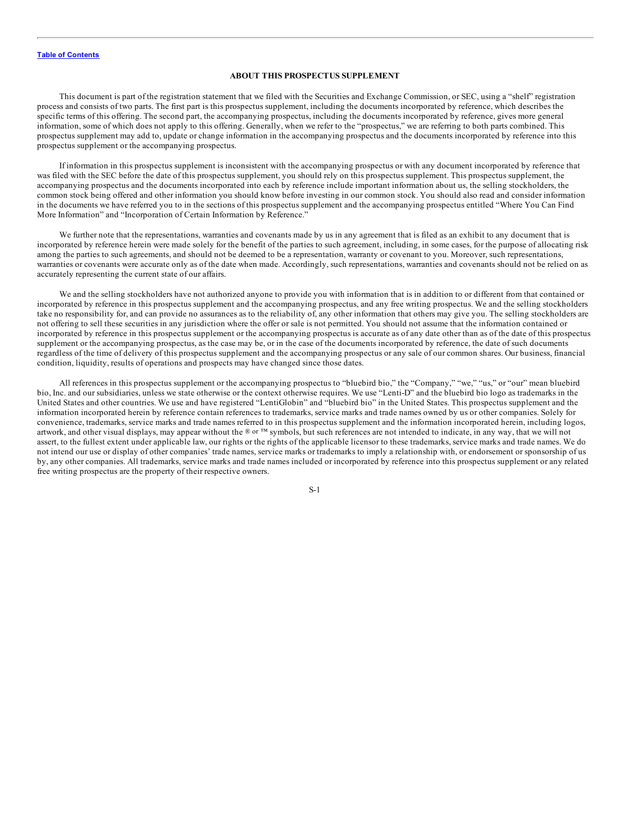#### **ABOUT THIS PROSPECTUS SUPPLEMENT**

<span id="page-3-0"></span>This document is part of the registration statement that we filed with the Securities and Exchange Commission, or SEC, using a "shelf" registration process and consists of two parts. The first part is this prospectus supplement, including the documents incorporated by reference, which describes the specific terms of this offering. The second part, the accompanying prospectus, including the documents incorporated by reference, gives more general information, some of which does not apply to this offering. Generally, when we refer to the "prospectus," we are referring to both parts combined. This prospectus supplement may add to, update or change information in the accompanying prospectus and the documents incorporated by reference into this prospectus supplement or the accompanying prospectus.

If information in this prospectus supplement is inconsistent with the accompanying prospectus or with any document incorporated by reference that was filed with the SEC before the date of this prospectus supplement, you should rely on this prospectus supplement. This prospectus supplement, the accompanying prospectus and the documents incorporated into each by reference include important information about us, the selling stockholders, the common stock being offered and other information you should know before investing in our common stock. You should also read and consider information in the documents we have referred you to in the sections of this prospectus supplement and the accompanying prospectus entitled "Where You Can Find More Information" and "Incorporation of Certain Information by Reference."

We further note that the representations, warranties and covenants made by us in any agreement that is filed as an exhibit to any document that is incorporated by reference herein were made solely for the benefit of the parties to such agreement, including, in some cases, for the purpose of allocating risk among the parties to such agreements, and should not be deemed to be a representation, warranty or covenant to you. Moreover, such representations, warranties or covenants were accurate only as of the date when made. Accordingly, such representations, warranties and covenants should not be relied on as accurately representing the current state of our affairs.

We and the selling stockholders have not authorized anyone to provide you with information that is in addition to or different from that contained or incorporated by reference in this prospectus supplement and the accompanying prospectus, and any free writing prospectus. We and the selling stockholders take no responsibility for, and can provide no assurances as to the reliability of, any other information that others may give you. The selling stockholders are not offering to sell these securities in any jurisdiction where the offer or sale is not permitted. You should not assume that the information contained or incorporated by reference in this prospectus supplement or the accompanying prospectus is accurate as of any date other than as of the date of this prospectus supplement or the accompanying prospectus, as the case may be, or in the case of the documents incorporated by reference, the date of such documents regardless of the time of delivery of this prospectus supplement and the accompanying prospectus or any sale of our common shares. Our business, financial condition, liquidity, results of operations and prospects may have changed since those dates.

All references in this prospectus supplement or the accompanying prospectus to "bluebird bio," the "Company," "we," "us," or "our" mean bluebird bio, Inc. and our subsidiaries, unless we state otherwise or the context otherwise requires. We use "Lenti-D" and the bluebird bio logo as trademarks in the United States and other countries. We use and have registered "LentiGlobin" and "bluebird bio" in the United States. This prospectus supplement and the information incorporated herein by reference contain references to trademarks, service marks and trade names owned by us or other companies. Solely for convenience, trademarks, service marks and trade names referred to in this prospectus supplement and the information incorporated herein, including logos, artwork, and other visual displays, may appear without the ® or ™ symbols, but such references are not intended to indicate, in any way, that we will not assert, to the fullest extent under applicable law, our rights or the rights of the applicable licensor to these trademarks, service marks and trade names. We do not intend our use or display of other companies' trade names, service marks or trademarks to imply a relationship with, or endorsement or sponsorship of us by, any other companies. All trademarks, service marks and trade names included or incorporated by reference into this prospectus supplement or any related free writing prospectus are the property of their respective owners.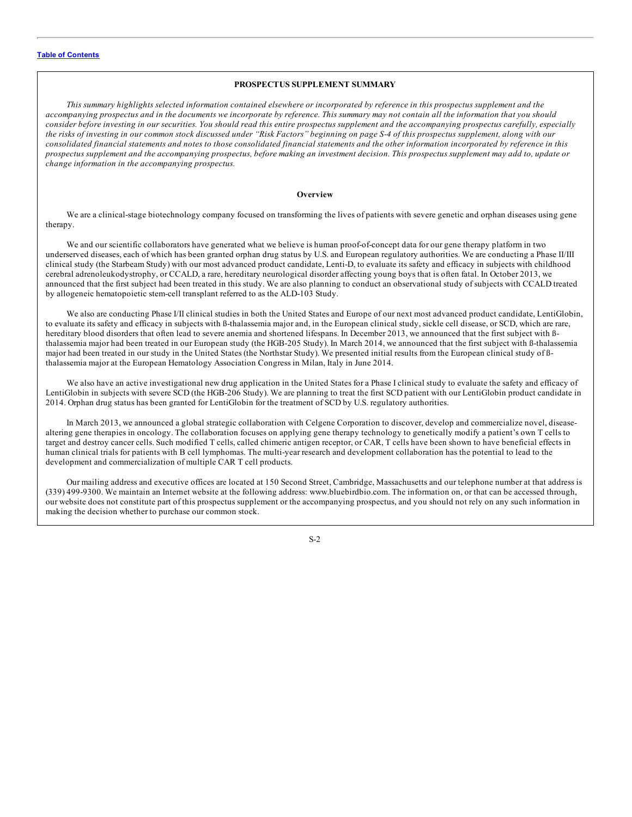#### **PROSPECTUS SUPPLEMENT SUMMARY**

<span id="page-4-0"></span>This summary highlights selected information contained elsewhere or incorporated by reference in this prospectus supplement and the accompanying prospectus and in the documents we incorporate by reference. This summary may not contain all the information that you should consider before investing in our securities. You should read this entire prospectus supplement and the accompanying prospectus carefully, especially the risks of investing in our common stock discussed under "Risk Factors" beginning on page S-4 of this prospectus supplement, along with our consolidated financial statements and notes to those consolidated financial statements and the other information incorporated by reference in this prospectus supplement and the accompanying prospectus, before making an investment decision. This prospectus supplement may add to, update or *change information in the accompanying prospectus.*

#### **Overview**

We are a clinical-stage biotechnology company focused on transforming the lives of patients with severe genetic and orphan diseases using gene therapy.

We and our scientific collaborators have generated what we believe is human proof-of-concept data for our gene therapy platform in two underserved diseases, each of which has been granted orphan drug status by U.S. and European regulatory authorities. We are conducting a Phase II/III clinical study (the Starbeam Study) with our most advanced product candidate, Lenti-D, to evaluate its safety and efficacy in subjects with childhood cerebral adrenoleukodystrophy, or CCALD, a rare, hereditary neurological disorder affecting young boys that is often fatal. In October 2013, we announced that the first subject had been treated in this study. We are also planning to conduct an observational study of subjects with CCALD treated by allogeneic hematopoietic stem-cell transplant referred to as the ALD-103 Study.

We also are conducting Phase I/II clinical studies in both the United States and Europe of our next most advanced product candidate, LentiGlobin, to evaluate its safety and efficacy in subjects with ß-thalassemia major and, in the European clinical study, sickle cell disease, or SCD, which are rare, hereditary blood disorders that often lead to severe anemia and shortened lifespans. In December 2013, we announced that the first subject with ßthalassemia major had been treated in our European study (the HGB-205 Study). In March 2014, we announced that the first subject with ß-thalassemia major had been treated in our study in the United States (the Northstar Study). We presented initial results from the European clinical study of ßthalassemia major at the European Hematology Association Congress in Milan, Italy in June 2014.

We also have an active investigational new drug application in the United States for a Phase I clinical study to evaluate the safety and efficacy of LentiGlobin in subjects with severe SCD (the HGB-206 Study). We are planning to treat the first SCD patient with our LentiGlobin product candidate in 2014. Orphan drug status has been granted for LentiGlobin for the treatment of SCD by U.S. regulatory authorities.

In March 2013, we announced a global strategic collaboration with Celgene Corporation to discover, develop and commercialize novel, diseasealtering gene therapies in oncology. The collaboration focuses on applying gene therapy technology to genetically modify a patient's own T cells to target and destroy cancer cells. Such modified T cells, called chimeric antigen receptor, or CAR, T cells have been shown to have beneficial effects in human clinical trials for patients with B cell lymphomas. The multi-year research and development collaboration has the potential to lead to the development and commercialization of multiple CAR T cell products.

Our mailing address and executive offices are located at 150 Second Street, Cambridge, Massachusetts and our telephone number at that address is (339) 499-9300. We maintain an Internet website at the following address: www.bluebirdbio.com. The information on, or that can be accessed through, our website does not constitute part of this prospectus supplement or the accompanying prospectus, and you should not rely on any such information in making the decision whether to purchase our common stock.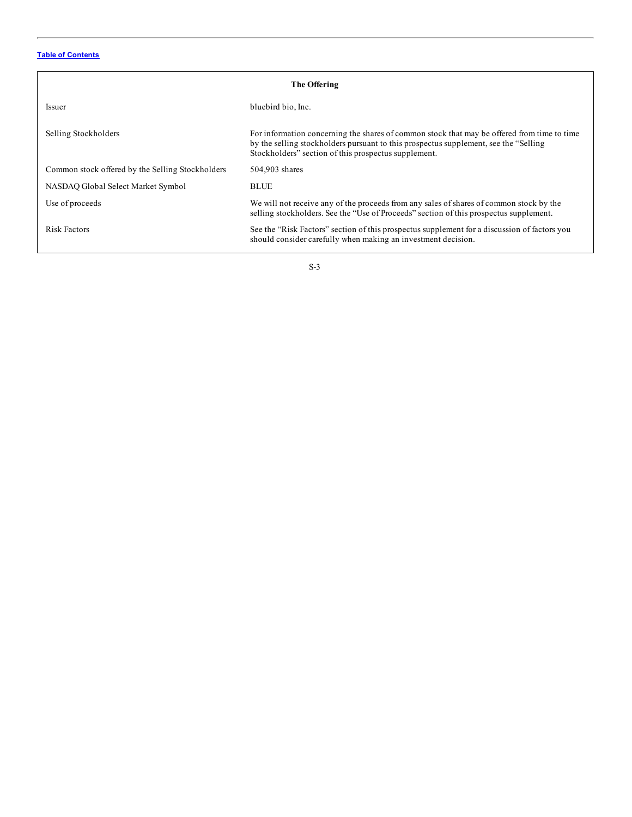| The Offering                                     |                                                                                                                                                                                                                                              |  |  |  |
|--------------------------------------------------|----------------------------------------------------------------------------------------------------------------------------------------------------------------------------------------------------------------------------------------------|--|--|--|
| <i>Issuer</i>                                    | bluebird bio, Inc.                                                                                                                                                                                                                           |  |  |  |
| Selling Stockholders                             | For information concerning the shares of common stock that may be offered from time to time<br>by the selling stockholders pursuant to this prospectus supplement, see the "Selling"<br>Stockholders" section of this prospectus supplement. |  |  |  |
| Common stock offered by the Selling Stockholders | 504,903 shares                                                                                                                                                                                                                               |  |  |  |
| NASDAO Global Select Market Symbol               | <b>BLUE</b>                                                                                                                                                                                                                                  |  |  |  |
| Use of proceeds                                  | We will not receive any of the proceeds from any sales of shares of common stock by the<br>selling stockholders. See the "Use of Proceeds" section of this prospectus supplement.                                                            |  |  |  |
| Risk Factors                                     | See the "Risk Factors" section of this prospectus supplement for a discussion of factors you<br>should consider carefully when making an investment decision.                                                                                |  |  |  |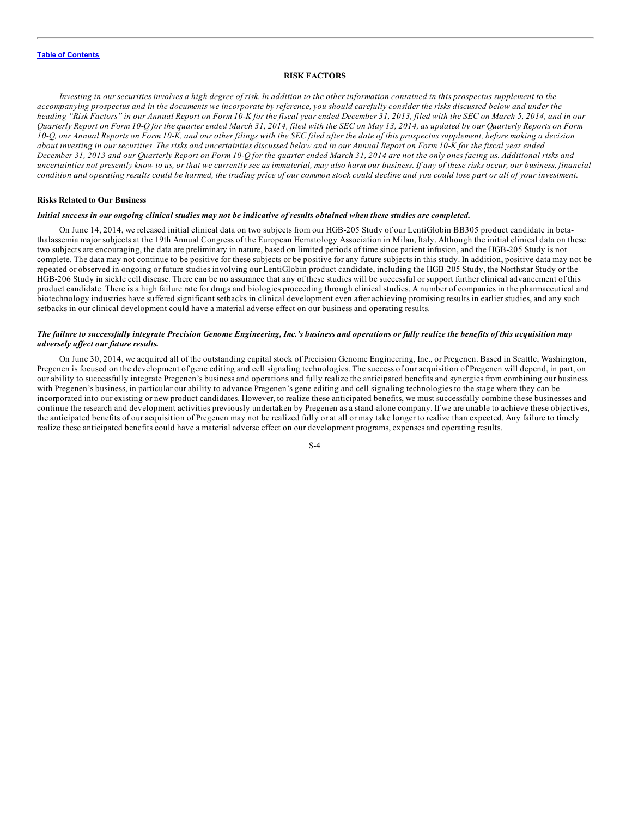#### **RISK FACTORS**

<span id="page-6-0"></span>Investing in our securities involves a high degree of risk. In addition to the other information contained in this prospectus supplement to the accompanying prospectus and in the documents we incorporate by reference, you should carefully consider the risks discussed below and under the heading "Risk Factors" in our Annual Report on Form 10-K for the fiscal year ended December 31, 2013, filed with the SEC on March 5, 2014, and in our Quarterly Report on Form 10-Q for the quarter ended March 31, 2014, filed with the SEC on May 13, 2014, as updated by our Quarterly Reports on Form 10-Q, our Annual Reports on Form 10-K, and our other filings with the SEC filed after the date of this prospectus supplement, before making a decision about investing in our securities. The risks and uncertainties discussed below and in our Annual Report on Form 10-K for the fiscal year ended December 31, 2013 and our Quarterly Report on Form 10-Q for the quarter ended March 31, 2014 are not the only ones facing us. Additional risks and uncertainties not presently know to us, or that we currently see as immaterial, may also harm our business. If any of these risks occur, our business, financial condition and operating results could be harmed, the trading price of our common stock could decline and you could lose part or all of your investment.

#### **Risks Related to Our Business**

#### Initial success in our ongoing clinical studies may not be indicative of results obtained when these studies are completed.

On June 14, 2014, we released initial clinical data on two subjects from our HGB-205 Study of our LentiGlobin BB305 product candidate in betathalassemia major subjects at the 19th Annual Congress of the European Hematology Association in Milan, Italy. Although the initial clinical data on these two subjects are encouraging, the data are preliminary in nature, based on limited periods of time since patient infusion, and the HGB-205 Study is not complete. The data may not continue to be positive for these subjects or be positive for any future subjects in this study. In addition, positive data may not be repeated or observed in ongoing or future studies involving our LentiGlobin product candidate, including the HGB-205 Study, the Northstar Study or the HGB-206 Study in sickle cell disease. There can be no assurance that any of these studies will be successful or support further clinical advancement of this product candidate. There is a high failure rate for drugs and biologics proceeding through clinical studies. A number of companies in the pharmaceutical and biotechnology industries have suffered significant setbacks in clinical development even after achieving promising results in earlier studies, and any such setbacks in our clinical development could have a material adverse effect on our business and operating results.

#### The failure to successfully integrate Precision Genome Engineering, Inc.'s business and operations or fully realize the benefits of this acquisition may *adversely af ect our future results.*

On June 30, 2014, we acquired all of the outstanding capital stock of Precision Genome Engineering, Inc., or Pregenen. Based in Seattle, Washington, Pregenen is focused on the development of gene editing and cell signaling technologies. The success of our acquisition of Pregenen will depend, in part, on our ability to successfully integrate Pregenen's business and operations and fully realize the anticipated benefits and synergies from combining our business with Pregenen's business, in particular our ability to advance Pregenen's gene editing and cell signaling technologies to the stage where they can be incorporated into our existing or new product candidates. However, to realize these anticipated benefits, we must successfully combine these businesses and continue the research and development activities previously undertaken by Pregenen as a stand-alone company. If we are unable to achieve these objectives, the anticipated benefits of our acquisition of Pregenen may not be realized fully or at all or may take longer to realize than expected. Any failure to timely realize these anticipated benefits could have a material adverse effect on our development programs, expenses and operating results.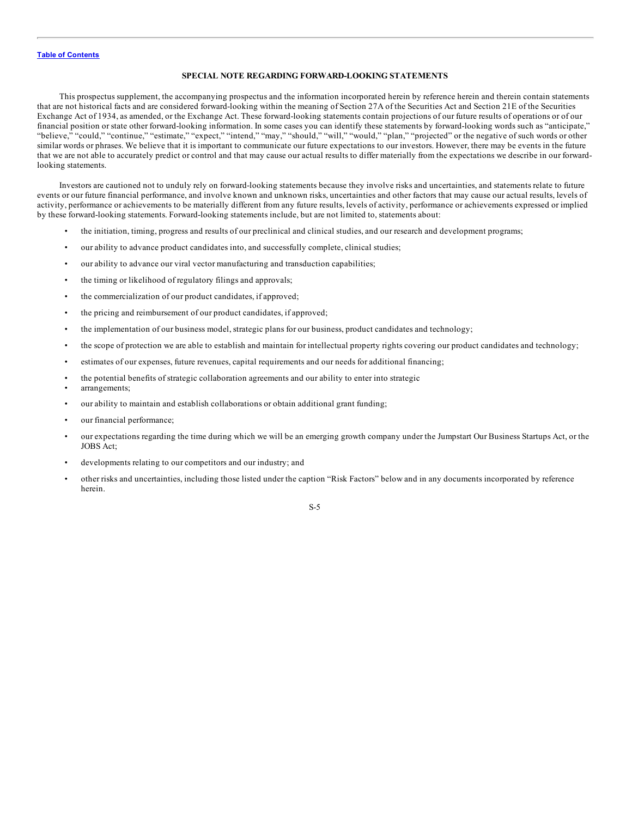#### **SPECIAL NOTE REGARDING FORWARD-LOOKING STATEMENTS**

<span id="page-7-0"></span>This prospectus supplement, the accompanying prospectus and the information incorporated herein by reference herein and therein contain statements that are not historical facts and are considered forward-looking within the meaning of Section 27A of the Securities Act and Section 21E of the Securities Exchange Act of 1934, as amended, or the Exchange Act. These forward-looking statements contain projections of our future results of operations or of our financial position or state other forward-looking information. In some cases you can identify these statements by forward-looking words such as "anticipate," "believe," "could," "continue," "estimate," "expect," "intend," "may," "should," "will," "would," "plan," "projected" or the negative of such words or other similar words or phrases. We believe that it is important to communicate our future expectations to our investors. However, there may be events in the future that we are not able to accurately predict or control and that may cause our actual results to differ materially from the expectations we describe in our forwardlooking statements.

Investors are cautioned not to unduly rely on forward-looking statements because they involve risks and uncertainties, and statements relate to future events or our future financial performance, and involve known and unknown risks, uncertainties and other factors that may cause our actual results, levels of activity, performance or achievements to be materially different from any future results, levels of activity, performance or achievements expressed or implied by these forward-looking statements. Forward-looking statements include, but are not limited to, statements about:

- the initiation, timing, progress and results of our preclinical and clinical studies, and our research and development programs;
- our ability to advance product candidates into, and successfully complete, clinical studies;
- our ability to advance our viral vector manufacturing and transduction capabilities;
- the timing or likelihood of regulatory filings and approvals;
- the commercialization of our product candidates, if approved;
- the pricing and reimbursement of our product candidates, if approved;
- the implementation of our business model, strategic plans for our business, product candidates and technology;
- the scope of protection we are able to establish and maintain for intellectual property rights covering our product candidates and technology;
- estimates of our expenses, future revenues, capital requirements and our needs for additional financing;
- the potential benefits of strategic collaboration agreements and our ability to enter into strategic
- arrangements:
- our ability to maintain and establish collaborations or obtain additional grant funding;
- our financial performance;
- our expectations regarding the time during which we will be an emerging growth company under the Jumpstart Our Business Startups Act, or the JOBS Act;
- developments relating to our competitors and our industry; and
- other risks and uncertainties, including those listed under the caption "Risk Factors" below and in any documents incorporated by reference herein.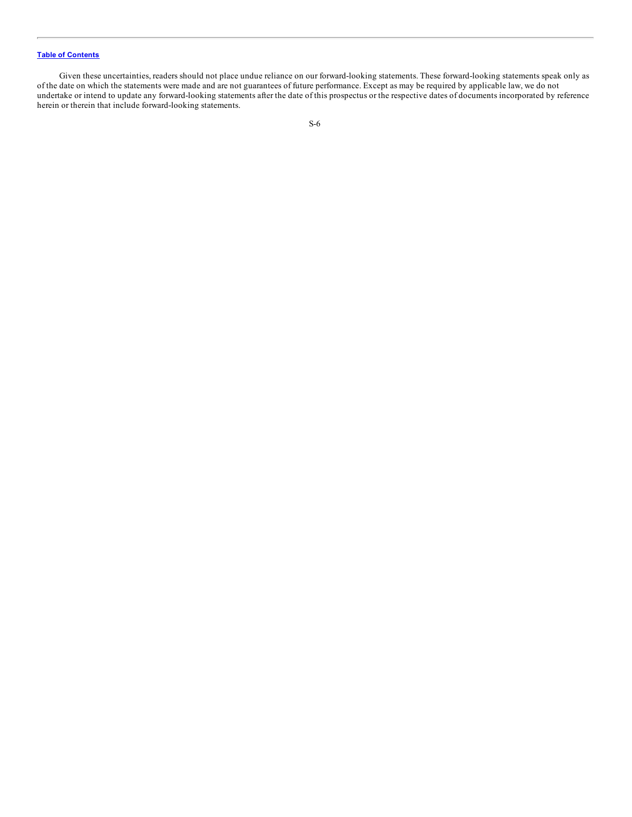Given these uncertainties, readers should not place undue reliance on our forward-looking statements. These forward-looking statements speak only as of the date on which the statements were made and are not guarantees of future performance. Except as may be required by applicable law, we do not undertake or intend to update any forward-looking statements after the date of this prospectus or the respective dates of documents incorporated by reference herein or therein that include forward-looking statements.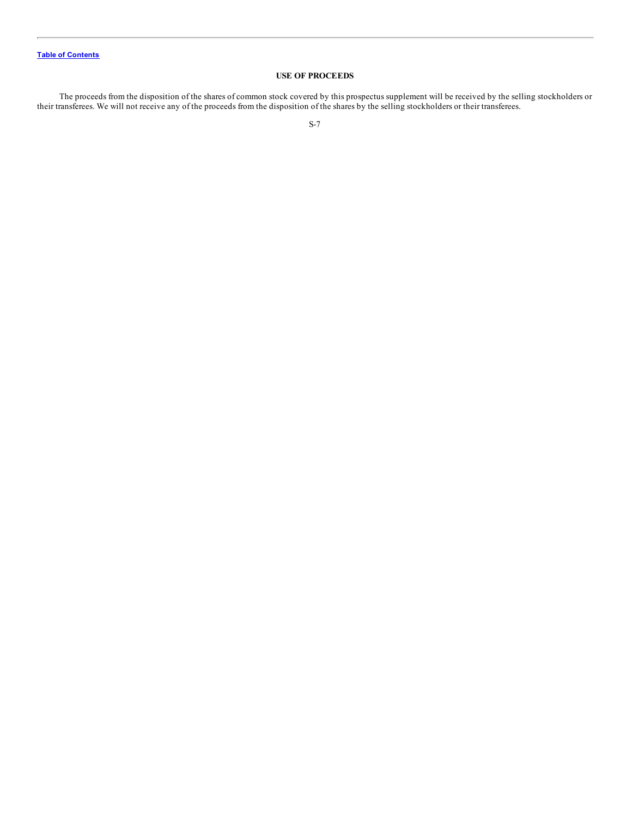## **USE OF PROCEEDS**

<span id="page-9-0"></span>The proceeds from the disposition of the shares of common stock covered by this prospectus supplement will be received by the selling stockholders or their transferees. We will not receive any of the proceeds from the disposition of the shares by the selling stockholders or their transferees.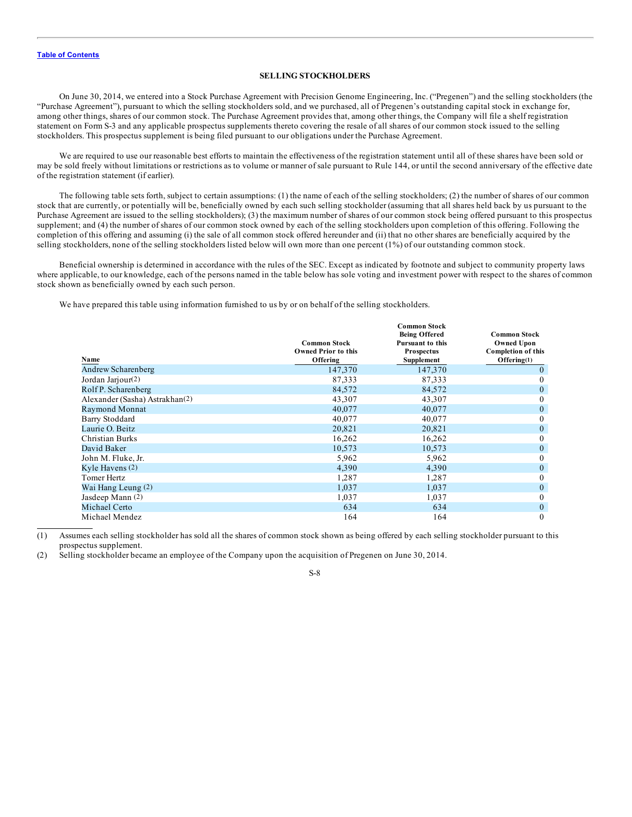#### **SELLING STOCKHOLDERS**

<span id="page-10-0"></span>On June 30, 2014, we entered into a Stock Purchase Agreement with Precision Genome Engineering, Inc. ("Pregenen") and the selling stockholders (the "Purchase Agreement"), pursuant to which the selling stockholders sold, and we purchased, all of Pregenen's outstanding capital stock in exchange for, among other things, shares of our common stock. The Purchase Agreement provides that, among other things, the Company will file a shelf registration statement on Form S-3 and any applicable prospectus supplements thereto covering the resale of all shares of our common stock issued to the selling stockholders. This prospectus supplement is being filed pursuant to our obligations under the Purchase Agreement.

We are required to use our reasonable best efforts to maintain the effectiveness of the registration statement until all of these shares have been sold or may be sold freely without limitations or restrictions as to volume or manner of sale pursuant to Rule 144, or until the second anniversary of the effective date of the registration statement (if earlier).

The following table sets forth, subject to certain assumptions: (1) the name of each of the selling stockholders; (2) the number of shares of our common stock that are currently, or potentially will be, beneficially owned by each such selling stockholder (assuming that all shares held back by us pursuant to the Purchase Agreement are issued to the selling stockholders); (3) the maximum number of shares of our common stock being offered pursuant to this prospectus supplement; and (4) the number of shares of our common stock owned by each of the selling stockholders upon completion of this offering. Following the completion of this offering and assuming (i) the sale of all common stock offered hereunder and (ii) that no other shares are beneficially acquired by the selling stockholders, none of the selling stockholders listed below will own more than one percent (1%) of our outstanding common stock.

Beneficial ownership is determined in accordance with the rules of the SEC. Except as indicated by footnote and subject to community property laws where applicable, to our knowledge, each of the persons named in the table below has sole voting and investment power with respect to the shares of common stock shown as beneficially owned by each such person.

We have prepared this table using information furnished to us by or on behalf of the selling stockholders.

| Name                           | <b>Common Stock</b><br><b>Owned Prior to this</b><br>Offering | <b>Common Stock</b><br><b>Being Offered</b><br><b>Pursuant to this</b><br><b>Prospectus</b><br>Supplement | <b>Common Stock</b><br><b>Owned Upon</b><br><b>Completion of this</b><br>Offering(1) |
|--------------------------------|---------------------------------------------------------------|-----------------------------------------------------------------------------------------------------------|--------------------------------------------------------------------------------------|
| Andrew Scharenberg             | 147,370                                                       | 147,370                                                                                                   | $\mathbf{0}$                                                                         |
| Jordan Jarjour(2)              | 87,333                                                        | 87,333                                                                                                    | $\bf{0}$                                                                             |
| Rolf P. Scharenberg            | 84,572                                                        | 84,572                                                                                                    | $\mathbf{0}$                                                                         |
| Alexander (Sasha) Astrakhan(2) | 43,307                                                        | 43,307                                                                                                    | $\theta$                                                                             |
| <b>Raymond Monnat</b>          | 40,077                                                        | 40,077                                                                                                    | $\mathbf{0}$                                                                         |
| Barry Stoddard                 | 40,077                                                        | 40,077                                                                                                    | $\mathbf{0}$                                                                         |
| Laurie O. Beitz                | 20,821                                                        | 20,821                                                                                                    | $\mathbf{0}$                                                                         |
| Christian Burks                | 16,262                                                        | 16,262                                                                                                    | $\mathbf{0}$                                                                         |
| David Baker                    | 10,573                                                        | 10,573                                                                                                    | $\mathbf{0}$                                                                         |
| John M. Fluke, Jr.             | 5,962                                                         | 5,962                                                                                                     | $\theta$                                                                             |
| Kyle Havens (2)                | 4,390                                                         | 4,390                                                                                                     | $\mathbf{0}$                                                                         |
| Tomer Hertz                    | 1,287                                                         | 1,287                                                                                                     | $\mathbf{0}$                                                                         |
| Wai Hang Leung (2)             | 1,037                                                         | 1,037                                                                                                     | $\theta$                                                                             |
| Jasdeep Mann (2)               | 1,037                                                         | 1,037                                                                                                     | $\mathbf{0}$                                                                         |
| Michael Certo                  | 634                                                           | 634                                                                                                       | $\mathbf{0}$                                                                         |
| Michael Mendez                 | 164                                                           | 164                                                                                                       | $\theta$                                                                             |

(1) Assumes each selling stockholder has sold all the shares of common stock shown as being offered by each selling stockholder pursuant to this prospectus supplement.

(2) Selling stockholder became an employee of the Company upon the acquisition of Pregenen on June 30, 2014.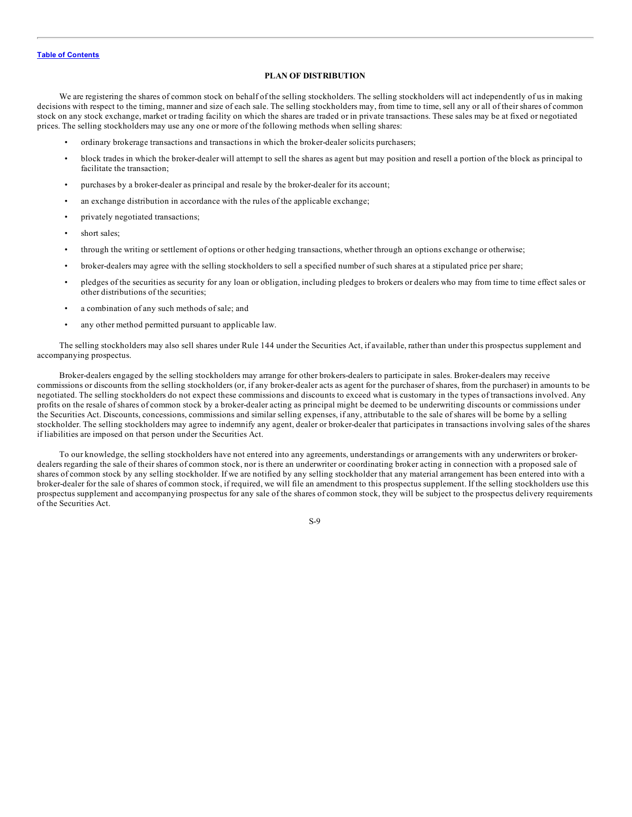#### **PLAN OF DISTRIBUTION**

<span id="page-11-0"></span>We are registering the shares of common stock on behalf of the selling stockholders. The selling stockholders will act independently of us in making decisions with respect to the timing, manner and size of each sale. The selling stockholders may, from time to time, sell any or all of their shares of common stock on any stock exchange, market or trading facility on which the shares are traded or in private transactions. These sales may be at fixed or negotiated prices. The selling stockholders may use any one or more of the following methods when selling shares:

- ordinary brokerage transactions and transactions in which the broker-dealer solicits purchasers;
- block trades in which the broker-dealer will attempt to sell the shares as agent but may position and resell a portion of the block as principal to facilitate the transaction;
- purchases by a broker-dealer as principal and resale by the broker-dealer for its account;
- an exchange distribution in accordance with the rules of the applicable exchange;
- privately negotiated transactions;
- short sales;
- through the writing or settlement of options or other hedging transactions, whether through an options exchange or otherwise;
- broker-dealers may agree with the selling stockholders to sell a specified number of such shares at a stipulated price per share;
- pledges of the securities as security for any loan or obligation, including pledges to brokers or dealers who may from time to time effect sales or other distributions of the securities;
- a combination of any such methods of sale; and
- any other method permitted pursuant to applicable law.

The selling stockholders may also sell shares under Rule 144 under the Securities Act, if available, rather than under this prospectus supplement and accompanying prospectus.

Broker-dealers engaged by the selling stockholders may arrange for other brokers-dealers to participate in sales. Broker-dealers may receive commissions or discounts from the selling stockholders (or, if any broker-dealer acts as agent for the purchaser of shares, from the purchaser) in amounts to be negotiated. The selling stockholders do not expect these commissions and discounts to exceed what is customary in the types of transactions involved. Any profits on the resale of shares of common stock by a broker-dealer acting as principal might be deemed to be underwriting discounts or commissions under the Securities Act. Discounts, concessions, commissions and similar selling expenses, if any, attributable to the sale of shares will be borne by a selling stockholder. The selling stockholders may agree to indemnify any agent, dealer or broker-dealer that participates in transactions involving sales of the shares if liabilities are imposed on that person under the Securities Act.

To our knowledge, the selling stockholders have not entered into any agreements, understandings or arrangements with any underwriters or brokerdealers regarding the sale of their shares of common stock, nor is there an underwriter or coordinating broker acting in connection with a proposed sale of shares of common stock by any selling stockholder. If we are notified by any selling stockholder that any material arrangement has been entered into with a broker-dealer for the sale of shares of common stock, if required, we will file an amendment to this prospectus supplement. If the selling stockholders use this prospectus supplement and accompanying prospectus for any sale of the shares of common stock, they will be subject to the prospectus delivery requirements of the Securities Act.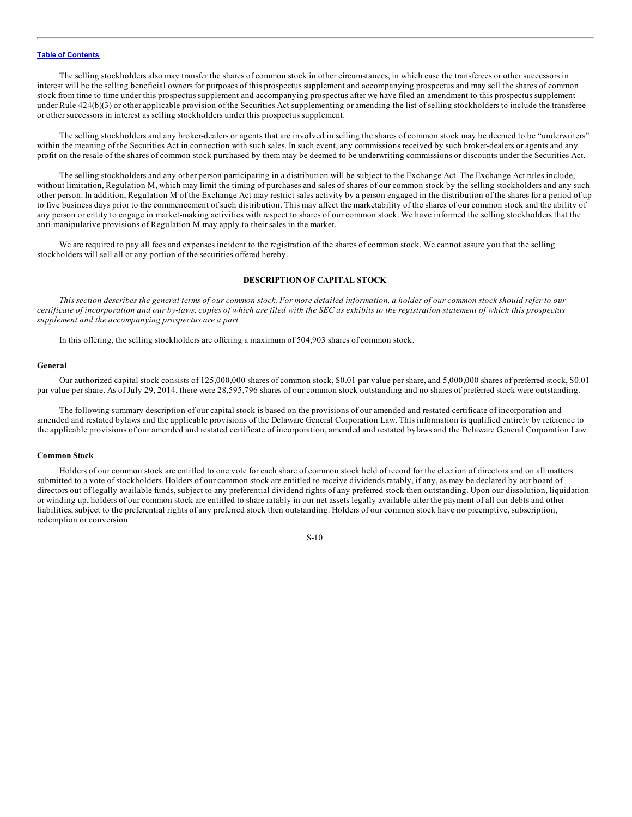<span id="page-12-0"></span>The selling stockholders also may transfer the shares of common stock in other circumstances, in which case the transferees or other successors in interest will be the selling beneficial owners for purposes of this prospectus supplement and accompanying prospectus and may sell the shares of common stock from time to time under this prospectus supplement and accompanying prospectus after we have filed an amendment to this prospectus supplement under Rule 424(b)(3) or other applicable provision of the Securities Act supplementing or amending the list of selling stockholders to include the transferee or other successors in interest as selling stockholders under this prospectus supplement.

The selling stockholders and any broker-dealers or agents that are involved in selling the shares of common stock may be deemed to be "underwriters" within the meaning of the Securities Act in connection with such sales. In such event, any commissions received by such broker-dealers or agents and any profit on the resale of the shares of common stock purchased by them may be deemed to be underwriting commissions or discounts under the Securities Act.

The selling stockholders and any other person participating in a distribution will be subject to the Exchange Act. The Exchange Act rules include, without limitation, Regulation M, which may limit the timing of purchases and sales of shares of our common stock by the selling stockholders and any such other person. In addition, Regulation M of the Exchange Act may restrict sales activity by a person engaged in the distribution of the shares for a period of up to five business days prior to the commencement of such distribution. This may affect the marketability of the shares of our common stock and the ability of any person or entity to engage in market-making activities with respect to shares of our common stock. We have informed the selling stockholders that the anti-manipulative provisions of Regulation M may apply to their sales in the market.

We are required to pay all fees and expenses incident to the registration of the shares of common stock. We cannot assure you that the selling stockholders will sell all or any portion of the securities offered hereby.

#### **DESCRIPTION OF CAPITAL STOCK**

This section describes the general terms of our common stock. For more detailed information, a holder of our common stock should refer to our certificate of incorporation and our by-laws, copies of which are filed with the SEC as exhibits to the registration statement of which this prospectus *supplement and the accompanying prospectus are a part.*

In this offering, the selling stockholders are offering a maximum of 504,903 shares of common stock.

#### **General**

Our authorized capital stock consists of 125,000,000 shares of common stock, \$0.01 par value per share, and 5,000,000 shares of preferred stock, \$0.01 par value per share. As of July 29, 2014, there were 28,595,796 shares of our common stock outstanding and no shares of preferred stock were outstanding.

The following summary description of our capital stock is based on the provisions of our amended and restated certificate of incorporation and amended and restated bylaws and the applicable provisions of the Delaware General Corporation Law. This information is qualified entirely by reference to the applicable provisions of our amended and restated certificate of incorporation, amended and restated bylaws and the Delaware General Corporation Law.

#### **Common Stock**

Holders of our common stock are entitled to one vote for each share of common stock held of record for the election of directors and on all matters submitted to a vote of stockholders. Holders of our common stock are entitled to receive dividends ratably, if any, as may be declared by our board of directors out of legally available funds, subject to any preferential dividend rights of any preferred stock then outstanding. Upon our dissolution, liquidation or winding up, holders of our common stock are entitled to share ratably in our net assets legally available after the payment of all our debts and other liabilities, subject to the preferential rights of any preferred stock then outstanding. Holders of our common stock have no preemptive, subscription, redemption or conversion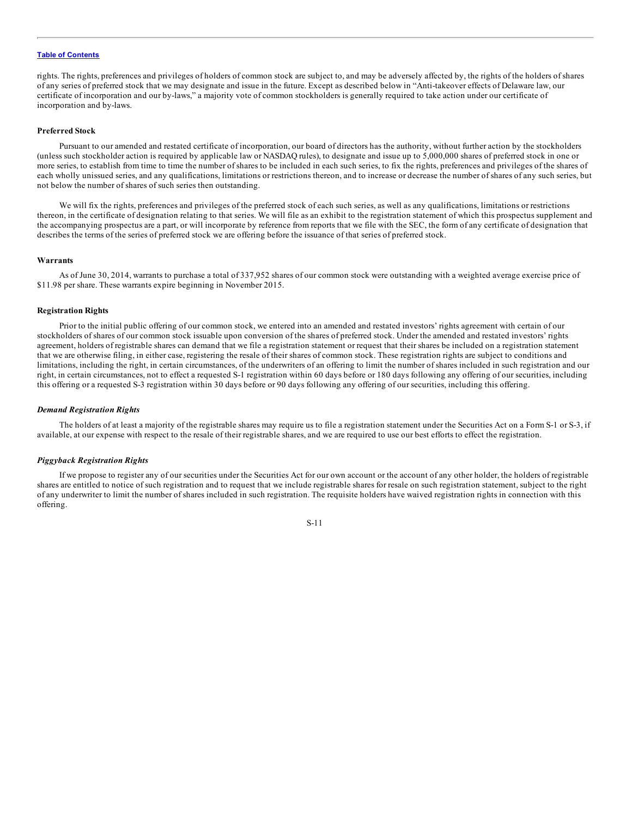rights. The rights, preferences and privileges of holders of common stock are subject to, and may be adversely affected by, the rights of the holders of shares of any series of preferred stock that we may designate and issue in the future. Except as described below in "Anti-takeover effects of Delaware law, our certificate of incorporation and our by-laws," a majority vote of common stockholders is generally required to take action under our certificate of incorporation and by-laws.

#### **Preferred Stock**

Pursuant to our amended and restated certificate of incorporation, our board of directors has the authority, without further action by the stockholders (unless such stockholder action is required by applicable law or NASDAQ rules), to designate and issue up to 5,000,000 shares of preferred stock in one or more series, to establish from time to time the number of shares to be included in each such series, to fix the rights, preferences and privileges of the shares of each wholly unissued series, and any qualifications, limitations or restrictions thereon, and to increase or decrease the number of shares of any such series, but not below the number of shares of such series then outstanding.

We will fix the rights, preferences and privileges of the preferred stock of each such series, as well as any qualifications, limitations or restrictions thereon, in the certificate of designation relating to that series. We will file as an exhibit to the registration statement of which this prospectus supplement and the accompanying prospectus are a part, or will incorporate by reference from reports that we file with the SEC, the form of any certificate of designation that describes the terms of the series of preferred stock we are offering before the issuance of that series of preferred stock.

#### **Warrants**

As of June 30, 2014, warrants to purchase a total of 337,952 shares of our common stock were outstanding with a weighted average exercise price of \$11.98 per share. These warrants expire beginning in November 2015.

#### **Registration Rights**

Prior to the initial public offering of our common stock, we entered into an amended and restated investors' rights agreement with certain of our stockholders of shares of our common stock issuable upon conversion of the shares of preferred stock. Under the amended and restated investors' rights agreement, holders of registrable shares can demand that we file a registration statement or request that their shares be included on a registration statement that we are otherwise filing, in either case, registering the resale of their shares of common stock. These registration rights are subject to conditions and limitations, including the right, in certain circumstances, of the underwriters of an offering to limit the number of shares included in such registration and our right, in certain circumstances, not to effect a requested S-1 registration within 60 days before or 180 days following any offering of our securities, including this offering or a requested S-3 registration within 30 days before or 90 days following any offering of our securities, including this offering.

#### *Demand Registration Rights*

The holders of at least a majority of the registrable shares may require us to file a registration statement under the Securities Act on a Form S-1 or S-3, if available, at our expense with respect to the resale of their registrable shares, and we are required to use our best efforts to effect the registration.

#### *Piggyback Registration Rights*

If we propose to register any of our securities under the Securities Act for our own account or the account of any other holder, the holders of registrable shares are entitled to notice of such registration and to request that we include registrable shares for resale on such registration statement, subject to the right of any underwriter to limit the number of shares included in such registration. The requisite holders have waived registration rights in connection with this offering.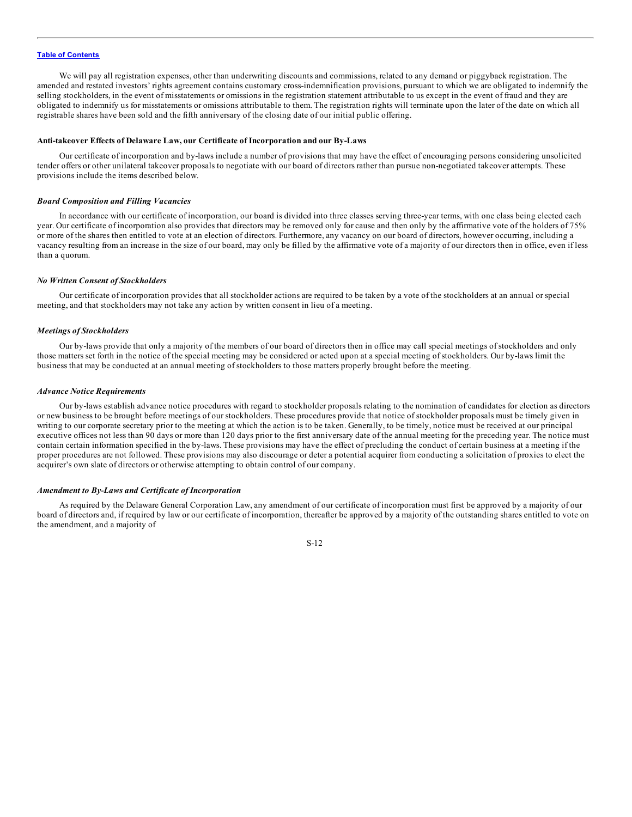We will pay all registration expenses, other than underwriting discounts and commissions, related to any demand or piggyback registration. The amended and restated investors' rights agreement contains customary cross-indemnification provisions, pursuant to which we are obligated to indemnify the selling stockholders, in the event of misstatements or omissions in the registration statement attributable to us except in the event of fraud and they are obligated to indemnify us for misstatements or omissions attributable to them. The registration rights will terminate upon the later of the date on which all registrable shares have been sold and the fifth anniversary of the closing date of our initial public offering.

#### **Anti-takeover Effects of Delaware Law, our Certificate of Incorporation and our By-Laws**

Our certificate of incorporation and by-laws include a number of provisions that may have the effect of encouraging persons considering unsolicited tender offers or other unilateral takeover proposals to negotiate with our board of directors rather than pursue non-negotiated takeover attempts. These provisions include the items described below.

#### *Board Composition and Filling Vacancies*

In accordance with our certificate of incorporation, our board is divided into three classes serving three-year terms, with one class being elected each year. Our certificate of incorporation also provides that directors may be removed only for cause and then only by the affirmative vote of the holders of 75% or more of the shares then entitled to vote at an election of directors. Furthermore, any vacancy on our board of directors, however occurring, including a vacancy resulting from an increase in the size of our board, may only be filled by the affirmative vote of a majority of our directors then in office, even if less than a quorum.

#### *No Written Consent of Stockholders*

Our certificate of incorporation provides that all stockholder actions are required to be taken by a vote of the stockholders at an annual or special meeting, and that stockholders may not take any action by written consent in lieu of a meeting.

#### *Meetings of Stockholders*

Our by-laws provide that only a majority of the members of our board of directors then in office may call special meetings of stockholders and only those matters set forth in the notice of the special meeting may be considered or acted upon at a special meeting of stockholders. Our by-laws limit the business that may be conducted at an annual meeting of stockholders to those matters properly brought before the meeting.

#### *Advance Notice Requirements*

Our by-laws establish advance notice procedures with regard to stockholder proposals relating to the nomination of candidates for election as directors or new business to be brought before meetings of our stockholders. These procedures provide that notice of stockholder proposals must be timely given in writing to our corporate secretary prior to the meeting at which the action is to be taken. Generally, to be timely, notice must be received at our principal executive offices not less than 90 days or more than 120 days prior to the first anniversary date of the annual meeting for the preceding year. The notice must contain certain information specified in the by-laws. These provisions may have the effect of precluding the conduct of certain business at a meeting if the proper procedures are not followed. These provisions may also discourage or deter a potential acquirer from conducting a solicitation of proxies to elect the acquirer's own slate of directors or otherwise attempting to obtain control of our company.

#### *Amendment to By-Laws and Certificate of Incorporation*

As required by the Delaware General Corporation Law, any amendment of our certificate of incorporation must first be approved by a majority of our board of directors and, if required by law or our certificate of incorporation, thereafter be approved by a majority of the outstanding shares entitled to vote on the amendment, and a majority of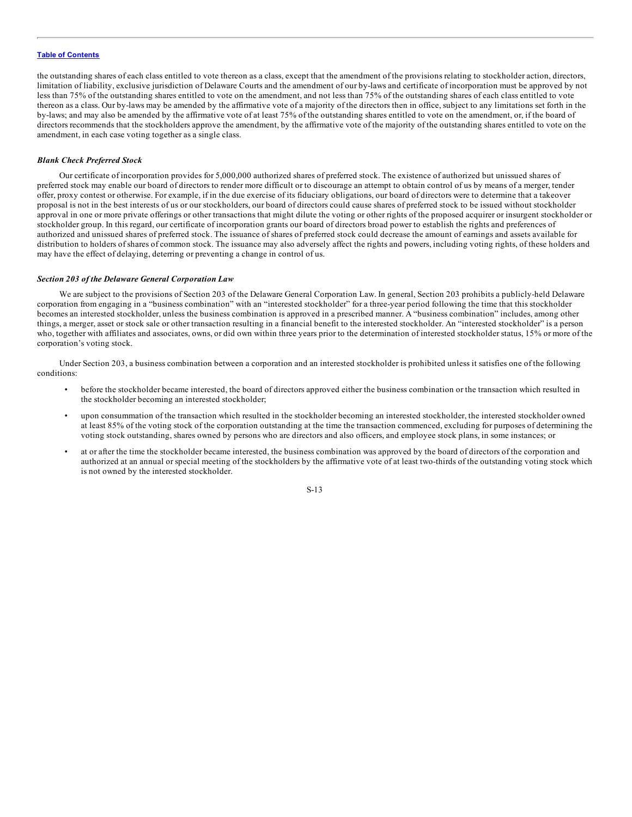the outstanding shares of each class entitled to vote thereon as a class, except that the amendment of the provisions relating to stockholder action, directors, limitation of liability, exclusive jurisdiction of Delaware Courts and the amendment of our by-laws and certificate of incorporation must be approved by not less than 75% of the outstanding shares entitled to vote on the amendment, and not less than 75% of the outstanding shares of each class entitled to vote thereon as a class. Our by-laws may be amended by the affirmative vote of a majority of the directors then in office, subject to any limitations set forth in the by-laws; and may also be amended by the affirmative vote of at least 75% of the outstanding shares entitled to vote on the amendment, or, if the board of directors recommends that the stockholders approve the amendment, by the affirmative vote of the majority of the outstanding shares entitled to vote on the amendment, in each case voting together as a single class.

#### *Blank Check Preferred Stock*

Our certificate of incorporation provides for 5,000,000 authorized shares of preferred stock. The existence of authorized but unissued shares of preferred stock may enable our board of directors to render more difficult or to discourage an attempt to obtain control of us by means of a merger, tender offer, proxy contest or otherwise. For example, if in the due exercise of its fiduciary obligations, our board of directors were to determine that a takeover proposal is not in the best interests of us or our stockholders, our board of directors could cause shares of preferred stock to be issued without stockholder approval in one or more private offerings or other transactions that might dilute the voting or other rights of the proposed acquirer or insurgent stockholder or stockholder group. In this regard, our certificate of incorporation grants our board of directors broad power to establish the rights and preferences of authorized and unissued shares of preferred stock. The issuance of shares of preferred stock could decrease the amount of earnings and assets available for distribution to holders of shares of common stock. The issuance may also adversely affect the rights and powers, including voting rights, of these holders and may have the effect of delaying, deterring or preventing a change in control of us.

#### *Section 203 of the Delaware General Corporation Law*

We are subject to the provisions of Section 203 of the Delaware General Corporation Law. In general, Section 203 prohibits a publicly-held Delaware corporation from engaging in a "business combination" with an "interested stockholder" for a three-year period following the time that this stockholder becomes an interested stockholder, unless the business combination is approved in a prescribed manner. A "business combination" includes, among other things, a merger, asset or stock sale or other transaction resulting in a financial benefit to the interested stockholder. An "interested stockholder" is a person who, together with affiliates and associates, owns, or did own within three years prior to the determination of interested stockholder status, 15% or more of the corporation's voting stock.

Under Section 203, a business combination between a corporation and an interested stockholder is prohibited unless it satisfies one of the following conditions:

- before the stockholder became interested, the board of directors approved either the business combination or the transaction which resulted in the stockholder becoming an interested stockholder;
- upon consummation of the transaction which resulted in the stockholder becoming an interested stockholder, the interested stockholder owned at least 85% of the voting stock of the corporation outstanding at the time the transaction commenced, excluding for purposes of determining the voting stock outstanding, shares owned by persons who are directors and also officers, and employee stock plans, in some instances; or
- at or after the time the stockholder became interested, the business combination was approved by the board of directors of the corporation and authorized at an annual or special meeting of the stockholders by the affirmative vote of at least two-thirds of the outstanding voting stock which is not owned by the interested stockholder.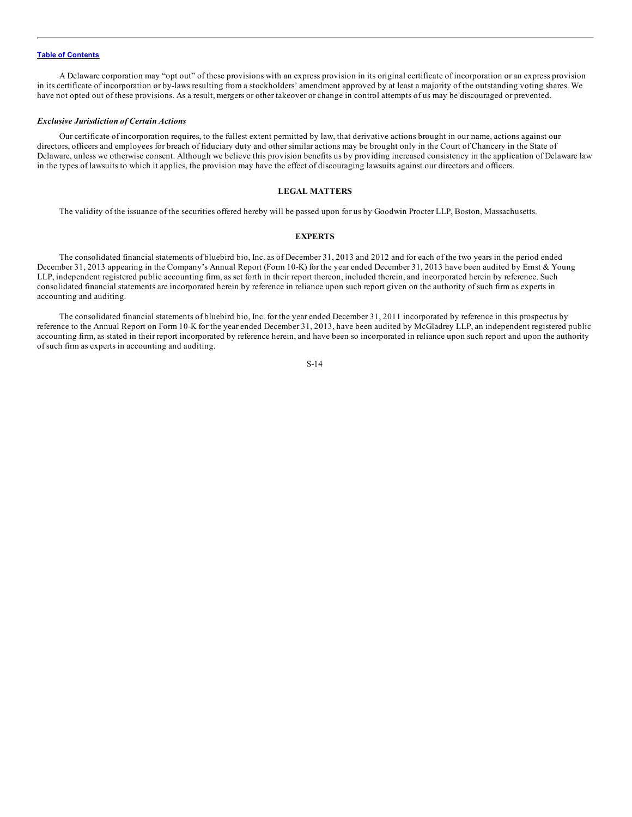<span id="page-16-0"></span>A Delaware corporation may "opt out" of these provisions with an express provision in its original certificate of incorporation or an express provision in its certificate of incorporation or by-laws resulting from a stockholders' amendment approved by at least a majority of the outstanding voting shares. We have not opted out of these provisions. As a result, mergers or other takeover or change in control attempts of us may be discouraged or prevented.

#### *Exclusive Jurisdiction of Certain Actions*

Our certificate of incorporation requires, to the fullest extent permitted by law, that derivative actions brought in our name, actions against our directors, officers and employees for breach of fiduciary duty and other similar actions may be brought only in the Court of Chancery in the State of Delaware, unless we otherwise consent. Although we believe this provision benefits us by providing increased consistency in the application of Delaware law in the types of lawsuits to which it applies, the provision may have the effect of discouraging lawsuits against our directors and officers.

#### **LEGAL MATTERS**

The validity of the issuance of the securities offered hereby will be passed upon for us by Goodwin Procter LLP, Boston, Massachusetts.

#### **EXPERTS**

The consolidated financial statements of bluebird bio, Inc. as of December 31, 2013 and 2012 and for each of the two years in the period ended December 31, 2013 appearing in the Company's Annual Report (Form 10-K) for the year ended December 31, 2013 have been audited by Ernst & Young LLP, independent registered public accounting firm, as set forth in their report thereon, included therein, and incorporated herein by reference. Such consolidated financial statements are incorporated herein by reference in reliance upon such report given on the authority of such firm as experts in accounting and auditing.

The consolidated financial statements of bluebird bio, Inc. for the year ended December 31, 2011 incorporated by reference in this prospectus by reference to the Annual Report on Form 10-K for the year ended December 31, 2013, have been audited by McGladrey LLP, an independent registered public accounting firm, as stated in their report incorporated by reference herein, and have been so incorporated in reliance upon such report and upon the authority of such firm as experts in accounting and auditing.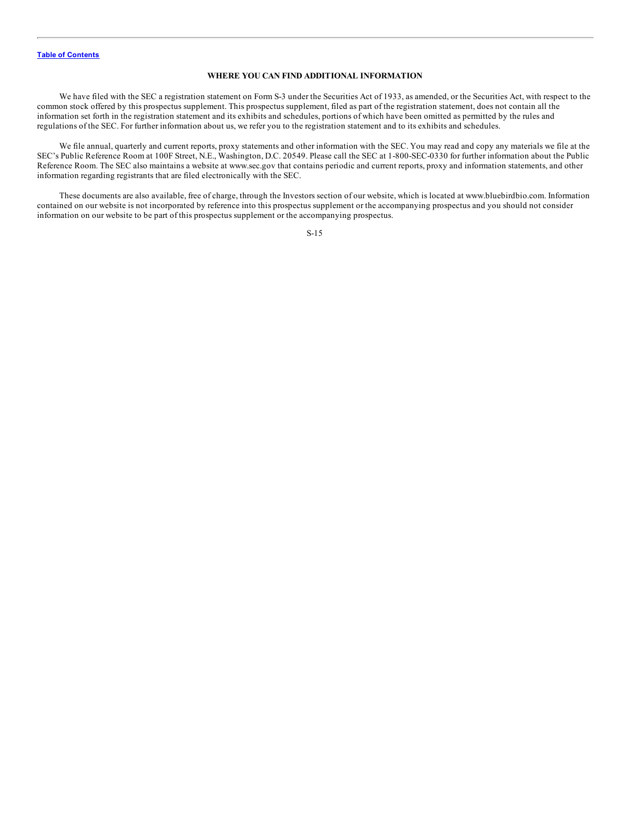### **WHERE YOU CAN FIND ADDITIONAL INFORMATION**

<span id="page-17-0"></span>We have filed with the SEC a registration statement on Form S-3 under the Securities Act of 1933, as amended, or the Securities Act, with respect to the common stock offered by this prospectus supplement. This prospectus supplement, filed as part of the registration statement, does not contain all the information set forth in the registration statement and its exhibits and schedules, portions of which have been omitted as permitted by the rules and regulations of the SEC. For further information about us, we refer you to the registration statement and to its exhibits and schedules.

We file annual, quarterly and current reports, proxy statements and other information with the SEC. You may read and copy any materials we file at the SEC's Public Reference Room at 100F Street, N.E., Washington, D.C. 20549. Please call the SEC at 1-800-SEC-0330 for further information about the Public Reference Room. The SEC also maintains a website at www.sec.gov that contains periodic and current reports, proxy and information statements, and other information regarding registrants that are filed electronically with the SEC.

These documents are also available, free of charge, through the Investors section of our website, which is located at www.bluebirdbio.com. Information contained on our website is not incorporated by reference into this prospectus supplement or the accompanying prospectus and you should not consider information on our website to be part of this prospectus supplement or the accompanying prospectus.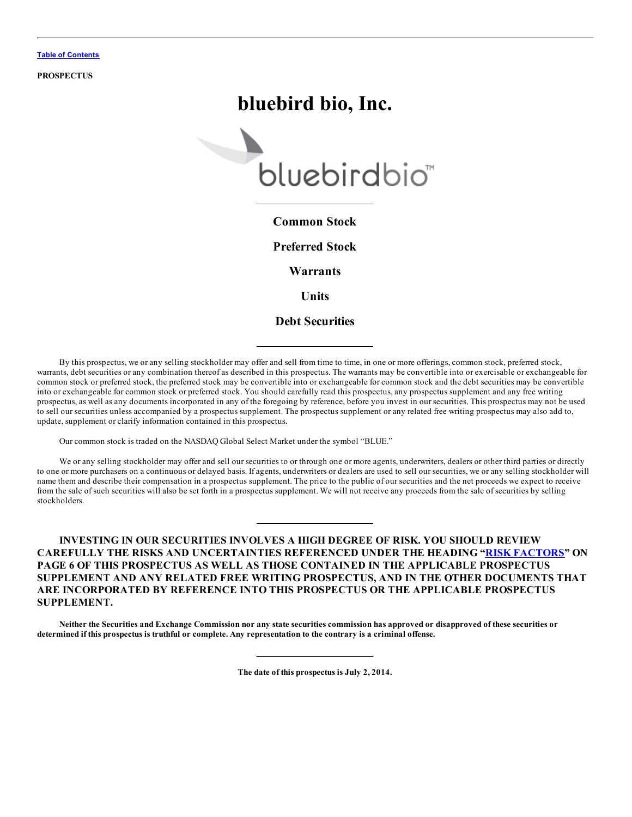**PROSPECTUS**

# **bluebird bio, Inc.**



# **Common Stock**

**Preferred Stock**

**Warrants**

**Units**

# **Debt Securities**

By this prospectus, we or any selling stockholder may offer and sell from time to time, in one or more offerings, common stock, preferred stock, warrants, debt securities or any combination thereof as described in this prospectus. The warrants may be convertible into or exercisable or exchangeable for common stock or preferred stock, the preferred stock may be convertible into or exchangeable for common stock and the debt securities may be convertible into or exchangeable for common stock or preferred stock. You should carefully read this prospectus, any prospectus supplement and any free writing prospectus, as well as any documents incorporated in any of the foregoing by reference, before you invest in our securities. This prospectus may not be used to sell our securities unless accompanied by a prospectus supplement. The prospectus supplement or any related free writing prospectus may also add to, update, supplement or clarify information contained in this prospectus.

Our common stock is traded on the NASDAQ Global Select Market under the symbol "BLUE."

We or any selling stockholder may offer and sell our securities to or through one or more agents, underwriters, dealers or other third parties or directly to one or more purchasers on a continuous or delayed basis. If agents, underwriters or dealers are used to sell our securities, we or any selling stockholder will name them and describe their compensation in a prospectus supplement. The price to the public of our securities and the net proceeds we expect to receive from the sale of such securities will also be set forth in a prospectus supplement. We will not receive any proceeds from the sale of securities by selling stockholders.

# **INVESTING IN OUR SECURITIES INVOLVES A HIGH DEGREE OF RISK. YOU SHOULD REVIEW CAREFULLY THE RISKS AND UNCERTAINTIES REFERENCED UNDER THE HEADING "RISK [FACTORS](#page-25-0)" ON PAGE 6 OF THIS PROSPECTUS AS WELL AS THOSE CONTAINED IN THE APPLICABLE PROSPECTUS SUPPLEMENT AND ANY RELATED FREE WRITING PROSPECTUS, AND IN THE OTHER DOCUMENTS THAT ARE INCORPORATED BY REFERENCE INTO THIS PROSPECTUS OR THE APPLICABLE PROSPECTUS SUPPLEMENT.**

Neither the Securities and Exchange Commission nor any state securities commission has approved or disapproved of these securities or determined if this prospectus is truthful or complete. Any representation to the contrary is a criminal offense.

**The date of this prospectus is July 2, 2014.**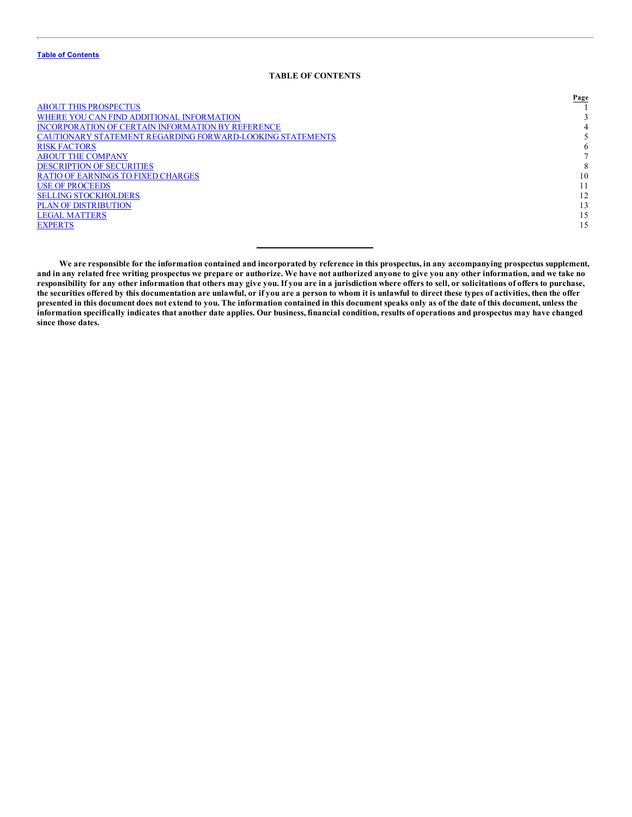## **TABLE OF CONTENTS**

|                                                           | Page |
|-----------------------------------------------------------|------|
| <b>ABOUT THIS PROSPECTUS</b>                              |      |
| WHERE YOU CAN FIND ADDITIONAL INFORMATION                 |      |
| <b>INCORPORATION OF CERTAIN INFORMATION BY REFERENCE</b>  |      |
| CAUTIONARY STATEMENT REGARDING FORWARD-LOOKING STATEMENTS |      |
| <b>RISK FACTORS</b>                                       | 6    |
| ABOUT THE COMPANY                                         |      |
| <b>DESCRIPTION OF SECURITIES</b>                          |      |
| RATIO OF EARNINGS TO FIXED CHARGES                        | 10   |
| <b>USE OF PROCEEDS</b>                                    |      |
| <b>SELLING STOCKHOLDERS</b>                               | 12   |
| <b>PLAN OF DISTRIBUTION</b>                               | 13   |
| LEGAL MATTERS                                             | 15   |
| <b>EXPERTS</b>                                            | 15   |
|                                                           |      |

We are responsible for the information contained and incorporated by reference in this prospectus, in any accompanying prospectus supplement, and in any related free writing prospectus we prepare or authorize. We have not authorized anyone to give you any other information, and we take no responsibility for any other information that others may give you. If you are in a jurisdiction where offers to sell, or solicitations of offers to purchase, the securities offered by this documentation are unlawful, or if you are a person to whom it is unlawful to direct these types of activities, then the offer presented in this document does not extend to you. The information contained in this document speaks only as of the date of this document, unless the information specifically indicates that another date applies. Our business, financial condition, results of operations and prospectus may have changed **since those dates.**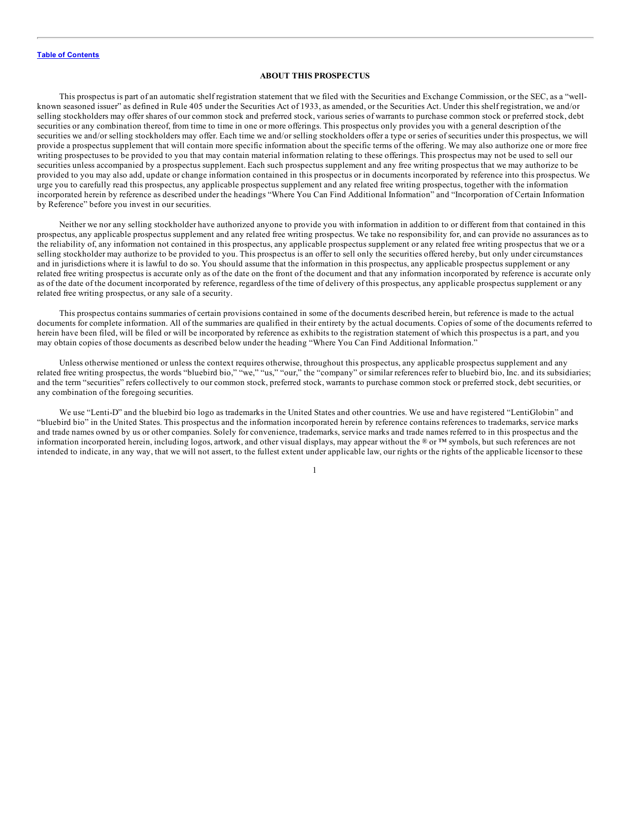#### **ABOUT THIS PROSPECTUS**

<span id="page-20-0"></span>This prospectus is part of an automatic shelf registration statement that we filed with the Securities and Exchange Commission, or the SEC, as a "wellknown seasoned issuer" as defined in Rule 405 under the Securities Act of 1933, as amended, or the Securities Act. Under this shelf registration, we and/or selling stockholders may offer shares of our common stock and preferred stock, various series of warrants to purchase common stock or preferred stock, debt securities or any combination thereof, from time to time in one or more offerings. This prospectus only provides you with a general description of the securities we and/or selling stockholders may offer. Each time we and/or selling stockholders offer a type or series of securities under this prospectus, we will provide a prospectus supplement that will contain more specific information about the specific terms of the offering. We may also authorize one or more free writing prospectuses to be provided to you that may contain material information relating to these offerings. This prospectus may not be used to sell our securities unless accompanied by a prospectus supplement. Each such prospectus supplement and any free writing prospectus that we may authorize to be provided to you may also add, update or change information contained in this prospectus or in documents incorporated by reference into this prospectus. We urge you to carefully read this prospectus, any applicable prospectus supplement and any related free writing prospectus, together with the information incorporated herein by reference as described under the headings "Where You Can Find Additional Information" and "Incorporation of Certain Information by Reference" before you invest in our securities.

Neither we nor any selling stockholder have authorized anyone to provide you with information in addition to or different from that contained in this prospectus, any applicable prospectus supplement and any related free writing prospectus. We take no responsibility for, and can provide no assurances as to the reliability of, any information not contained in this prospectus, any applicable prospectus supplement or any related free writing prospectus that we or a selling stockholder may authorize to be provided to you. This prospectus is an offer to sell only the securities offered hereby, but only under circumstances and in jurisdictions where it is lawful to do so. You should assume that the information in this prospectus, any applicable prospectus supplement or any related free writing prospectus is accurate only as of the date on the front of the document and that any information incorporated by reference is accurate only as of the date of the document incorporated by reference, regardless of the time of delivery of this prospectus, any applicable prospectus supplement or any related free writing prospectus, or any sale of a security.

This prospectus contains summaries of certain provisions contained in some of the documents described herein, but reference is made to the actual documents for complete information. All of the summaries are qualified in their entirety by the actual documents. Copies of some of the documents referred to herein have been filed, will be filed or will be incorporated by reference as exhibits to the registration statement of which this prospectus is a part, and you may obtain copies of those documents as described below under the heading "Where You Can Find Additional Information."

Unless otherwise mentioned or unless the context requires otherwise, throughout this prospectus, any applicable prospectus supplement and any related free writing prospectus, the words "bluebird bio," "we," "us," "our," the "company" or similar references refer to bluebird bio, Inc. and its subsidiaries; and the term "securities" refers collectively to our common stock, preferred stock, warrants to purchase common stock or preferred stock, debt securities, or any combination of the foregoing securities.

We use "Lenti-D" and the bluebird bio logo as trademarks in the United States and other countries. We use and have registered "LentiGlobin" and "bluebird bio" in the United States. This prospectus and the information incorporated herein by reference contains references to trademarks, service marks and trade names owned by us or other companies. Solely for convenience, trademarks, service marks and trade names referred to in this prospectus and the information incorporated herein, including logos, artwork, and other visual displays, may appear without the ® or ™ symbols, but such references are not intended to indicate, in any way, that we will not assert, to the fullest extent under applicable law, our rights or the rights of the applicable licensor to these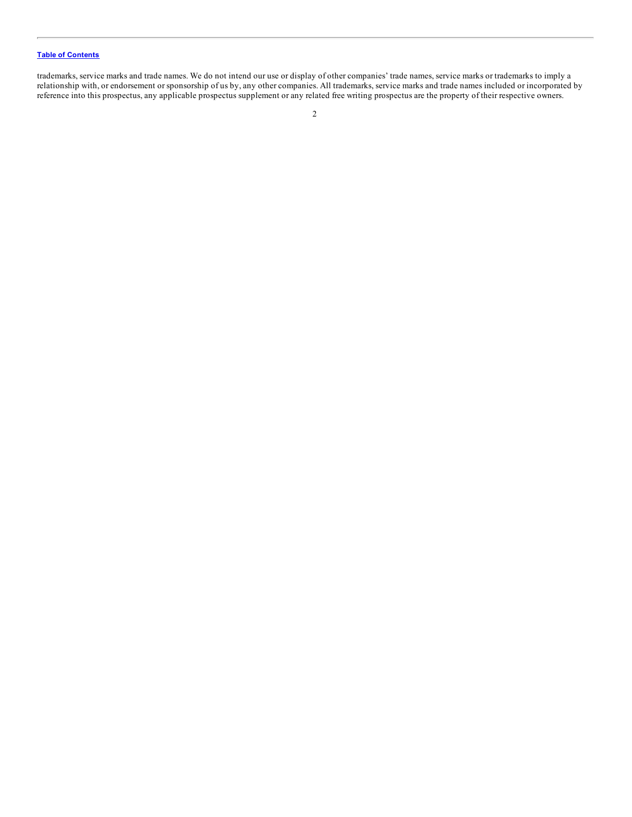trademarks, service marks and trade names. We do not intend our use or display of other companies' trade names, service marks or trademarks to imply a relationship with, or endorsement or sponsorship of us by, any other companies. All trademarks, service marks and trade names included or incorporated by reference into this prospectus, any applicable prospectus supplement or any related free writing prospectus are the property of their respective owners.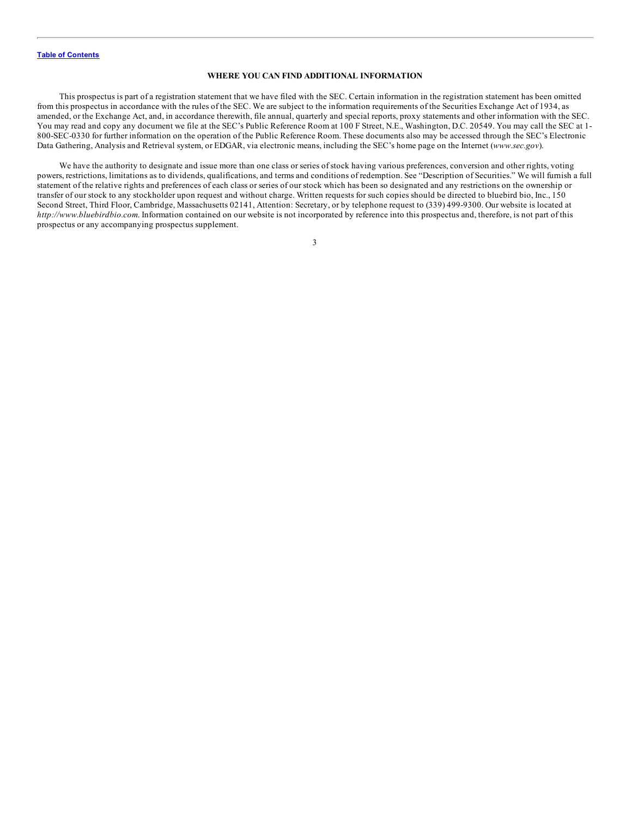#### **WHERE YOU CAN FIND ADDITIONAL INFORMATION**

<span id="page-22-0"></span>This prospectus is part of a registration statement that we have filed with the SEC. Certain information in the registration statement has been omitted from this prospectus in accordance with the rules of the SEC. We are subject to the information requirements of the Securities Exchange Act of 1934, as amended, or the Exchange Act, and, in accordance therewith, file annual, quarterly and special reports, proxy statements and other information with the SEC. You may read and copy any document we file at the SEC's Public Reference Room at 100 F Street, N.E., Washington, D.C. 20549. You may call the SEC at 1- 800-SEC-0330 for further information on the operation of the Public Reference Room. These documents also may be accessed through the SEC's Electronic Data Gathering, Analysis and Retrieval system, or EDGAR, via electronic means, including the SEC's home page on the Internet (*www.sec.gov*).

We have the authority to designate and issue more than one class or series of stock having various preferences, conversion and other rights, voting powers, restrictions, limitations as to dividends, qualifications, and terms and conditions of redemption. See "Description of Securities." We will furnish a full statement of the relative rights and preferences of each class or series of our stock which has been so designated and any restrictions on the ownership or transfer of our stock to any stockholder upon request and without charge. Written requests for such copies should be directed to bluebird bio, Inc., 150 Second Street, Third Floor, Cambridge, Massachusetts 02141, Attention: Secretary, or by telephone request to (339) 499-9300. Our website is located at *http://www.bluebirdbio.com*. Information contained on our website is not incorporated by reference into this prospectus and, therefore, is not part of this prospectus or any accompanying prospectus supplement.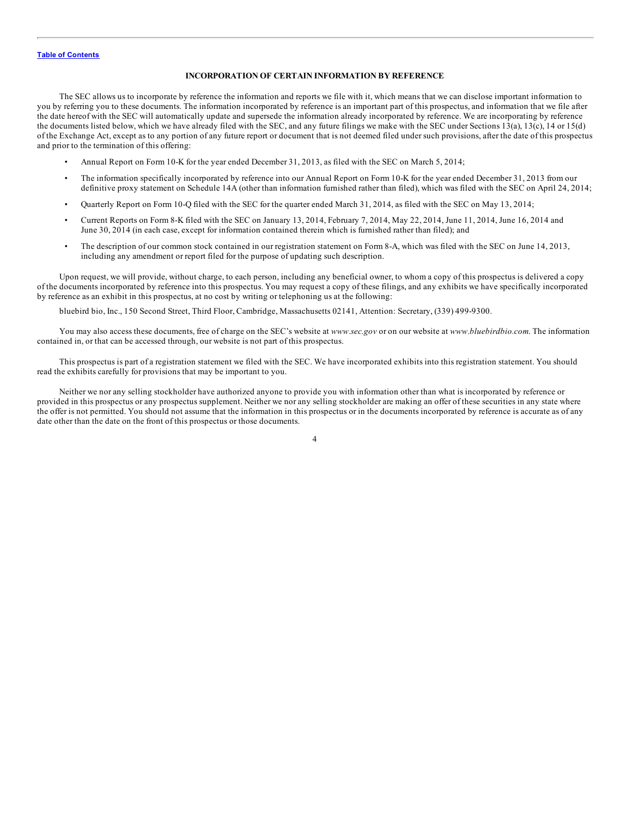#### **INCORPORATION OF CERTAIN INFORMATION BY REFERENCE**

<span id="page-23-0"></span>The SEC allows us to incorporate by reference the information and reports we file with it, which means that we can disclose important information to you by referring you to these documents. The information incorporated by reference is an important part of this prospectus, and information that we file after the date hereof with the SEC will automatically update and supersede the information already incorporated by reference. We are incorporating by reference the documents listed below, which we have already filed with the SEC, and any future filings we make with the SEC under Sections 13(a), 13(c), 14 or 15(d) of the Exchange Act, except as to any portion of any future report or document that is not deemed filed under such provisions, after the date of this prospectus and prior to the termination of this offering:

- Annual Report on Form 10-K for the year ended December 31, 2013, as filed with the SEC on March 5, 2014;
- The information specifically incorporated by reference into our Annual Report on Form 10-K for the year ended December 31, 2013 from our definitive proxy statement on Schedule 14A (other than information furnished rather than filed), which was filed with the SEC on April 24, 2014;
- Quarterly Report on Form 10-Q filed with the SEC for the quarter ended March 31, 2014, as filed with the SEC on May 13, 2014;
- Current Reports on Form 8-K filed with the SEC on January 13, 2014, February 7, 2014, May 22, 2014, June 11, 2014, June 16, 2014 and June 30, 2014 (in each case, except for information contained therein which is furnished rather than filed); and
- The description of our common stock contained in our registration statement on Form 8-A, which was filed with the SEC on June 14, 2013, including any amendment or report filed for the purpose of updating such description.

Upon request, we will provide, without charge, to each person, including any beneficial owner, to whom a copy of this prospectus is delivered a copy of the documents incorporated by reference into this prospectus. You may request a copy of these filings, and any exhibits we have specifically incorporated by reference as an exhibit in this prospectus, at no cost by writing or telephoning us at the following:

bluebird bio, Inc., 150 Second Street, Third Floor, Cambridge, Massachusetts 02141, Attention: Secretary, (339) 499-9300.

You may also access these documents, free of charge on the SEC's website at *www.sec.gov* or on our website at *www.bluebirdbio.com*. The information contained in, or that can be accessed through, our website is not part of this prospectus.

This prospectus is part of a registration statement we filed with the SEC. We have incorporated exhibits into this registration statement. You should read the exhibits carefully for provisions that may be important to you.

Neither we nor any selling stockholder have authorized anyone to provide you with information other than what is incorporated by reference or provided in this prospectus or any prospectus supplement. Neither we nor any selling stockholder are making an offer of these securities in any state where the offer is not permitted. You should not assume that the information in this prospectus or in the documents incorporated by reference is accurate as of any date other than the date on the front of this prospectus or those documents.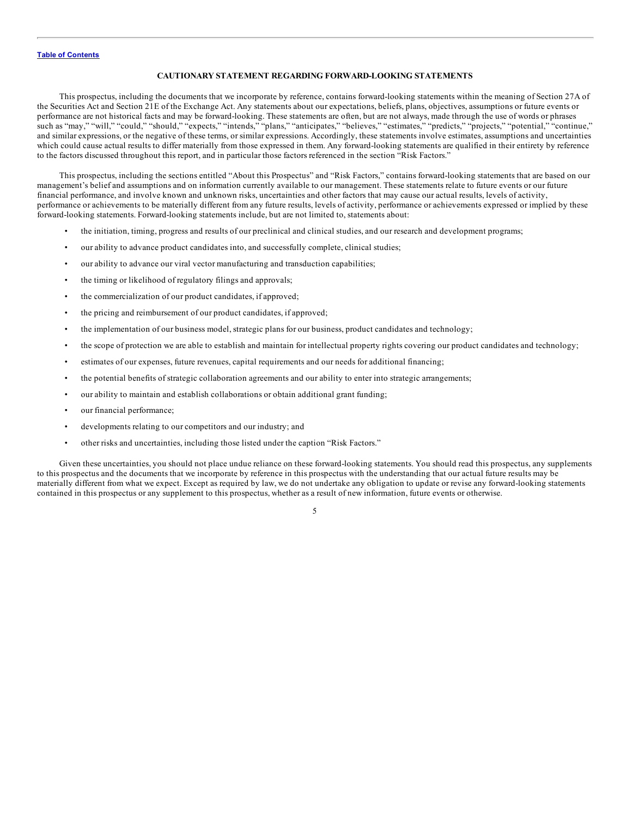#### **CAUTIONARY STATEMENT REGARDING FORWARD-LOOKING STATEMENTS**

<span id="page-24-0"></span>This prospectus, including the documents that we incorporate by reference, contains forward-looking statements within the meaning of Section 27A of the Securities Act and Section 21E of the Exchange Act. Any statements about our expectations, beliefs, plans, objectives, assumptions or future events or performance are not historical facts and may be forward-looking. These statements are often, but are not always, made through the use of words or phrases such as "may," "will," "could," "should," "expects," "intends," "plans," "anticipates," "believes," "estimates," "predicts," "projects," "potential," "continue," and similar expressions, or the negative of these terms, or similar expressions. Accordingly, these statements involve estimates, assumptions and uncertainties which could cause actual results to differ materially from those expressed in them. Any forward-looking statements are qualified in their entirety by reference to the factors discussed throughout this report, and in particular those factors referenced in the section "Risk Factors."

This prospectus, including the sections entitled "About this Prospectus" and "Risk Factors," contains forward-looking statements that are based on our management's belief and assumptions and on information currently available to our management. These statements relate to future events or our future financial performance, and involve known and unknown risks, uncertainties and other factors that may cause our actual results, levels of activity, performance or achievements to be materially different from any future results, levels of activity, performance or achievements expressed or implied by these forward-looking statements. Forward-looking statements include, but are not limited to, statements about:

- the initiation, timing, progress and results of our preclinical and clinical studies, and our research and development programs;
- our ability to advance product candidates into, and successfully complete, clinical studies;
- our ability to advance our viral vector manufacturing and transduction capabilities;
- the timing or likelihood of regulatory filings and approvals;
- the commercialization of our product candidates, if approved;
- the pricing and reimbursement of our product candidates, if approved;
- the implementation of our business model, strategic plans for our business, product candidates and technology;
- the scope of protection we are able to establish and maintain for intellectual property rights covering our product candidates and technology;
- estimates of our expenses, future revenues, capital requirements and our needs for additional financing;
- the potential benefits of strategic collaboration agreements and our ability to enter into strategic arrangements;
- our ability to maintain and establish collaborations or obtain additional grant funding;
- our financial performance;
- developments relating to our competitors and our industry; and
- other risks and uncertainties, including those listed under the caption "Risk Factors."

Given these uncertainties, you should not place undue reliance on these forward-looking statements. You should read this prospectus, any supplements to this prospectus and the documents that we incorporate by reference in this prospectus with the understanding that our actual future results may be materially different from what we expect. Except as required by law, we do not undertake any obligation to update or revise any forward-looking statements contained in this prospectus or any supplement to this prospectus, whether as a result of new information, future events or otherwise.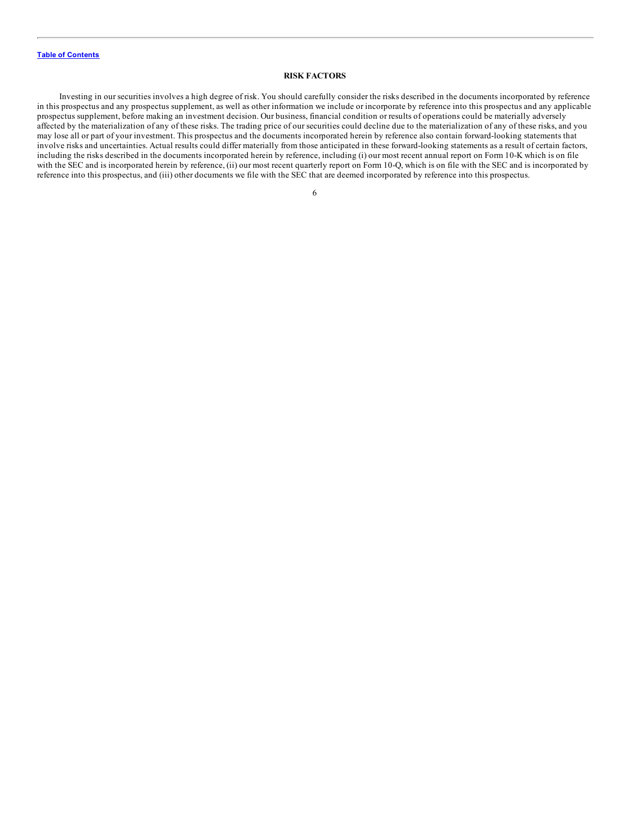#### **RISK FACTORS**

<span id="page-25-0"></span>Investing in our securities involves a high degree of risk. You should carefully consider the risks described in the documents incorporated by reference in this prospectus and any prospectus supplement, as well as other information we include or incorporate by reference into this prospectus and any applicable prospectus supplement, before making an investment decision. Our business, financial condition or results of operations could be materially adversely affected by the materialization of any of these risks. The trading price of our securities could decline due to the materialization of any of these risks, and you may lose all or part of your investment. This prospectus and the documents incorporated herein by reference also contain forward-looking statements that involve risks and uncertainties. Actual results could differ materially from those anticipated in these forward-looking statements as a result of certain factors, including the risks described in the documents incorporated herein by reference, including (i) our most recent annual report on Form 10-K which is on file with the SEC and is incorporated herein by reference, (ii) our most recent quarterly report on Form 10-Q, which is on file with the SEC and is incorporated by reference into this prospectus, and (iii) other documents we file with the SEC that are deemed incorporated by reference into this prospectus.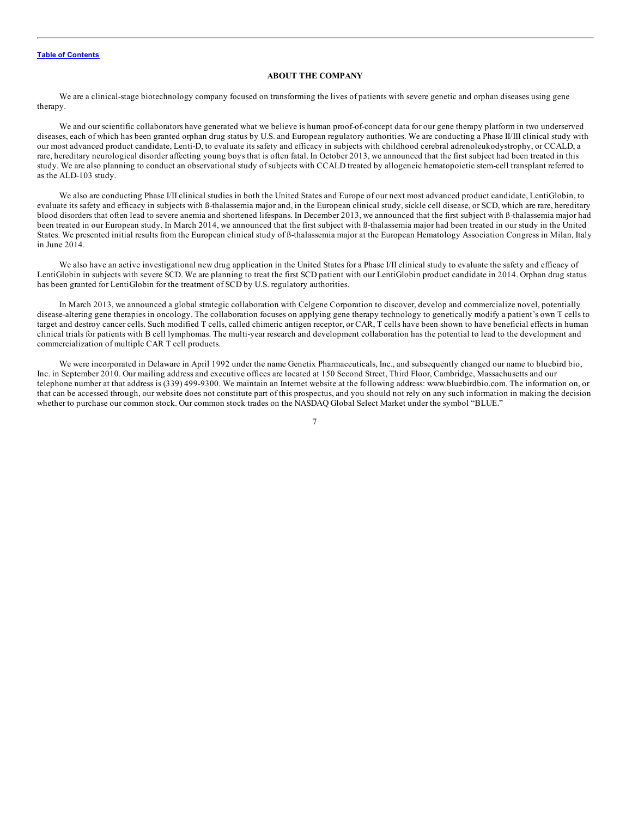#### **ABOUT THE COMPANY**

<span id="page-26-0"></span>We are a clinical-stage biotechnology company focused on transforming the lives of patients with severe genetic and orphan diseases using gene therapy.

We and our scientific collaborators have generated what we believe is human proof-of-concept data for our gene therapy platform in two underserved diseases, each of which has been granted orphan drug status by U.S. and European regulatory authorities. We are conducting a Phase II/III clinical study with our most advanced product candidate, Lenti-D, to evaluate its safety and efficacy in subjects with childhood cerebral adrenoleukodystrophy, or CCALD, a rare, hereditary neurological disorder affecting young boys that is often fatal. In October 2013, we announced that the first subject had been treated in this study. We are also planning to conduct an observational study of subjects with CCALD treated by allogeneic hematopoietic stem-cell transplant referred to as the ALD-103 study.

We also are conducting Phase I/II clinical studies in both the United States and Europe of our next most advanced product candidate, LentiGlobin, to evaluate its safety and efficacy in subjects with ß-thalassemia major and, in the European clinical study, sickle cell disease, or SCD, which are rare, hereditary blood disorders that often lead to severe anemia and shortened lifespans. In December 2013, we announced that the first subject with ß-thalassemia major had been treated in our European study. In March 2014, we announced that the first subject with ß-thalassemia major had been treated in our study in the United States. We presented initial results from the European clinical study of  $\beta$ -thalassemia major at the European Hematology Association Congress in Milan, Italy in June 2014.

We also have an active investigational new drug application in the United States for a Phase I/II clinical study to evaluate the safety and efficacy of LentiGlobin in subjects with severe SCD. We are planning to treat the first SCD patient with our LentiGlobin product candidate in 2014. Orphan drug status has been granted for LentiGlobin for the treatment of SCD by U.S. regulatory authorities.

In March 2013, we announced a global strategic collaboration with Celgene Corporation to discover, develop and commercialize novel, potentially disease-altering gene therapies in oncology. The collaboration focuses on applying gene therapy technology to genetically modify a patient's own T cells to target and destroy cancer cells. Such modified T cells, called chimeric antigen receptor, or CAR, T cells have been shown to have beneficial effects in human clinical trials for patients with B cell lymphomas. The multi-year research and development collaboration has the potential to lead to the development and commercialization of multiple CAR T cell products.

We were incorporated in Delaware in April 1992 under the name Genetix Pharmaceuticals, Inc., and subsequently changed our name to bluebird bio, Inc. in September 2010. Our mailing address and executive offices are located at 150 Second Street, Third Floor, Cambridge, Massachusetts and our telephone number at that address is (339) 499-9300. We maintain an Internet website at the following address: www.bluebirdbio.com. The information on, or that can be accessed through, our website does not constitute part of this prospectus, and you should not rely on any such information in making the decision whether to purchase our common stock. Our common stock trades on the NASDAQ Global Select Market under the symbol "BLUE."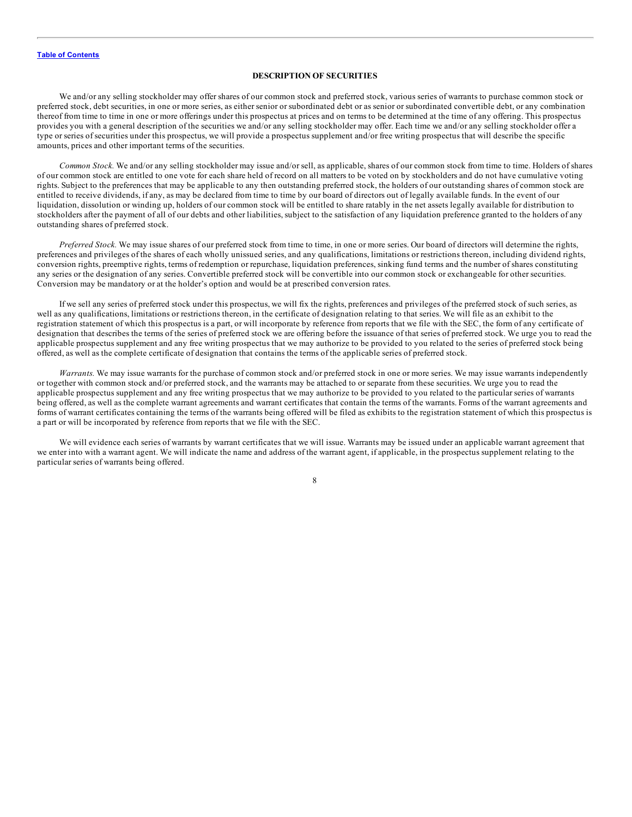#### **DESCRIPTION OF SECURITIES**

<span id="page-27-0"></span>We and/or any selling stockholder may offer shares of our common stock and preferred stock, various series of warrants to purchase common stock or preferred stock, debt securities, in one or more series, as either senior or subordinated debt or as senior or subordinated convertible debt, or any combination thereof from time to time in one or more offerings under this prospectus at prices and on terms to be determined at the time of any offering. This prospectus provides you with a general description of the securities we and/or any selling stockholder may offer. Each time we and/or any selling stockholder offer a type or series of securities under this prospectus, we will provide a prospectus supplement and/or free writing prospectus that will describe the specific amounts, prices and other important terms of the securities.

*Common Stock.* We and/or any selling stockholder may issue and/or sell, as applicable, shares of our common stock from time to time. Holders of shares of our common stock are entitled to one vote for each share held of record on all matters to be voted on by stockholders and do not have cumulative voting rights. Subject to the preferences that may be applicable to any then outstanding preferred stock, the holders of our outstanding shares of common stock are entitled to receive dividends, if any, as may be declared from time to time by our board of directors out of legally available funds. In the event of our liquidation, dissolution or winding up, holders of our common stock will be entitled to share ratably in the net assets legally available for distribution to stockholders after the payment of all of our debts and other liabilities, subject to the satisfaction of any liquidation preference granted to the holders of any outstanding shares of preferred stock.

*Preferred Stock.* We may issue shares of our preferred stock from time to time, in one or more series. Our board of directors will determine the rights, preferences and privileges of the shares of each wholly unissued series, and any qualifications, limitations or restrictions thereon, including dividend rights, conversion rights, preemptive rights, terms of redemption or repurchase, liquidation preferences, sinking fund terms and the number of shares constituting any series or the designation of any series. Convertible preferred stock will be convertible into our common stock or exchangeable for other securities. Conversion may be mandatory or at the holder's option and would be at prescribed conversion rates.

If we sell any series of preferred stock under this prospectus, we will fix the rights, preferences and privileges of the preferred stock of such series, as well as any qualifications, limitations or restrictions thereon, in the certificate of designation relating to that series. We will file as an exhibit to the registration statement of which this prospectus is a part, or will incorporate by reference from reports that we file with the SEC, the form of any certificate of designation that describes the terms of the series of preferred stock we are offering before the issuance of that series of preferred stock. We urge you to read the applicable prospectus supplement and any free writing prospectus that we may authorize to be provided to you related to the series of preferred stock being offered, as well as the complete certificate of designation that contains the terms of the applicable series of preferred stock.

*Warrants.* We may issue warrants for the purchase of common stock and/or preferred stock in one or more series. We may issue warrants independently or together with common stock and/or preferred stock, and the warrants may be attached to or separate from these securities. We urge you to read the applicable prospectus supplement and any free writing prospectus that we may authorize to be provided to you related to the particular series of warrants being offered, as well as the complete warrant agreements and warrant certificates that contain the terms of the warrants. Forms of the warrant agreements and forms of warrant certificates containing the terms of the warrants being offered will be filed as exhibits to the registration statement of which this prospectus is a part or will be incorporated by reference from reports that we file with the SEC.

We will evidence each series of warrants by warrant certificates that we will issue. Warrants may be issued under an applicable warrant agreement that we enter into with a warrant agent. We will indicate the name and address of the warrant agent, if applicable, in the prospectus supplement relating to the particular series of warrants being offered.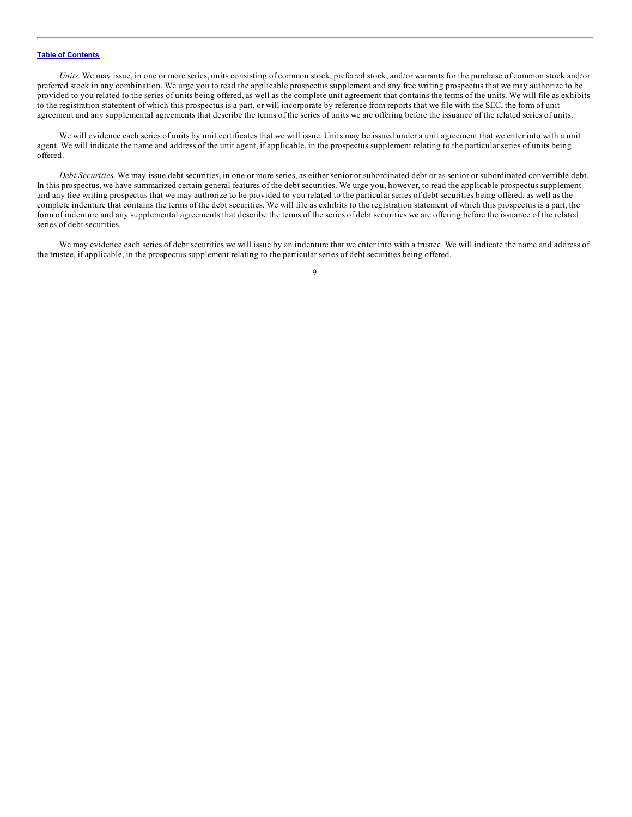*Units*. We may issue, in one or more series, units consisting of common stock, preferred stock, and/or warrants for the purchase of common stock and/or preferred stock in any combination. We urge you to read the applicable prospectus supplement and any free writing prospectus that we may authorize to be provided to you related to the series of units being offered, as well as the complete unit agreement that contains the terms of the units. We will file as exhibits to the registration statement of which this prospectus is a part, or will incorporate by reference from reports that we file with the SEC, the form of unit agreement and any supplemental agreements that describe the terms of the series of units we are offering before the issuance of the related series of units.

We will evidence each series of units by unit certificates that we will issue. Units may be issued under a unit agreement that we enter into with a unit agent. We will indicate the name and address of the unit agent, if applicable, in the prospectus supplement relating to the particular series of units being offered.

*Debt Securities.* We may issue debt securities, in one or more series, as either senior or subordinated debt or as senior or subordinated convertible debt. In this prospectus, we have summarized certain general features of the debt securities. We urge you, however, to read the applicable prospectus supplement and any free writing prospectus that we may authorize to be provided to you related to the particular series of debt securities being offered, as well as the complete indenture that contains the terms of the debt securities. We will file as exhibits to the registration statement of which this prospectus is a part, the form of indenture and any supplemental agreements that describe the terms of the series of debt securities we are offering before the issuance of the related series of debt securities.

We may evidence each series of debt securities we will issue by an indenture that we enter into with a trustee. We will indicate the name and address of the trustee, if applicable, in the prospectus supplement relating to the particular series of debt securities being offered.

 $\mathbf Q$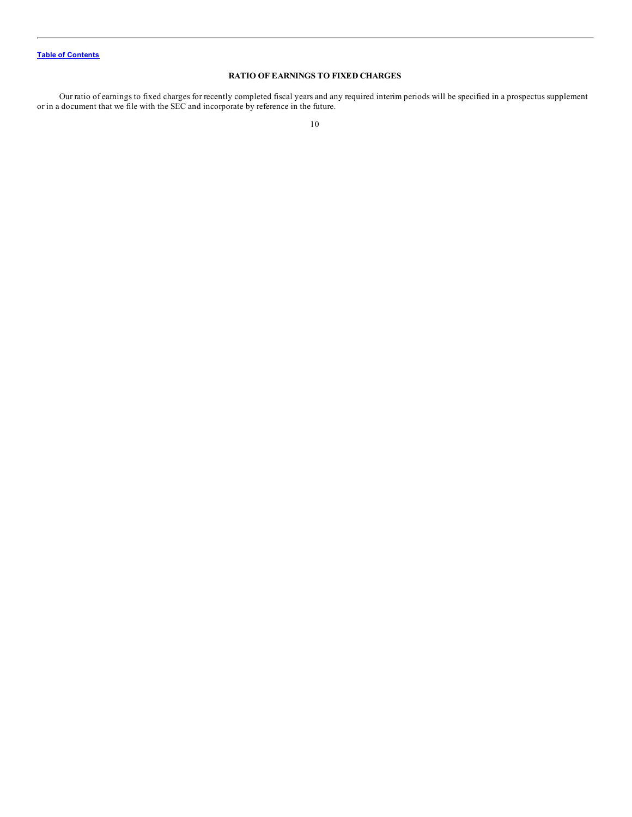## **RATIO OF EARNINGS TO FIXED CHARGES**

<span id="page-29-0"></span>Our ratio of earnings to fixed charges for recently completed fiscal years and any required interim periods will be specified in a prospectus supplement or in a document that we file with the SEC and incorporate by reference in the future.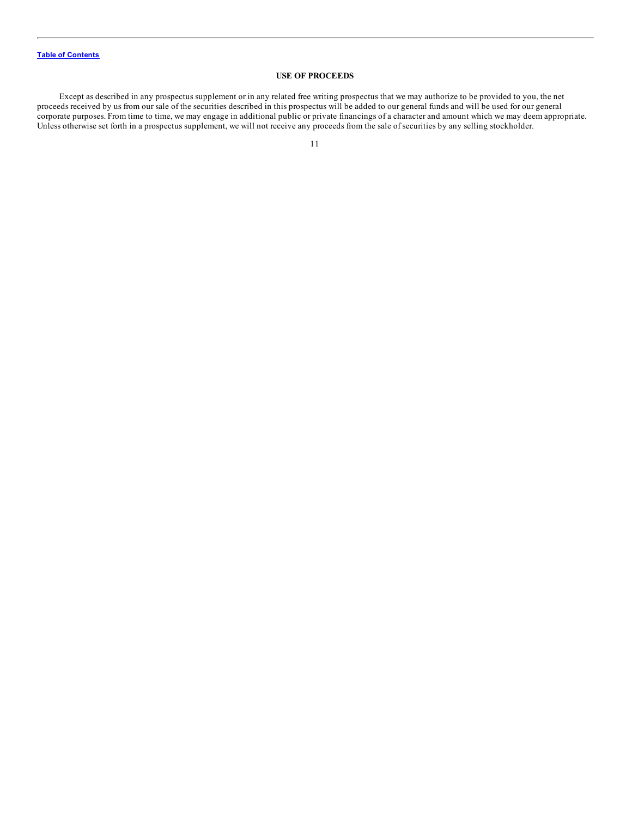## **USE OF PROCEEDS**

<span id="page-30-0"></span>Except as described in any prospectus supplement or in any related free writing prospectus that we may authorize to be provided to you, the net proceeds received by us from our sale of the securities described in this prospectus will be added to our general funds and will be used for our general corporate purposes. From time to time, we may engage in additional public or private financings of a character and amount which we may deem appropriate. Unless otherwise set forth in a prospectus supplement, we will not receive any proceeds from the sale of securities by any selling stockholder.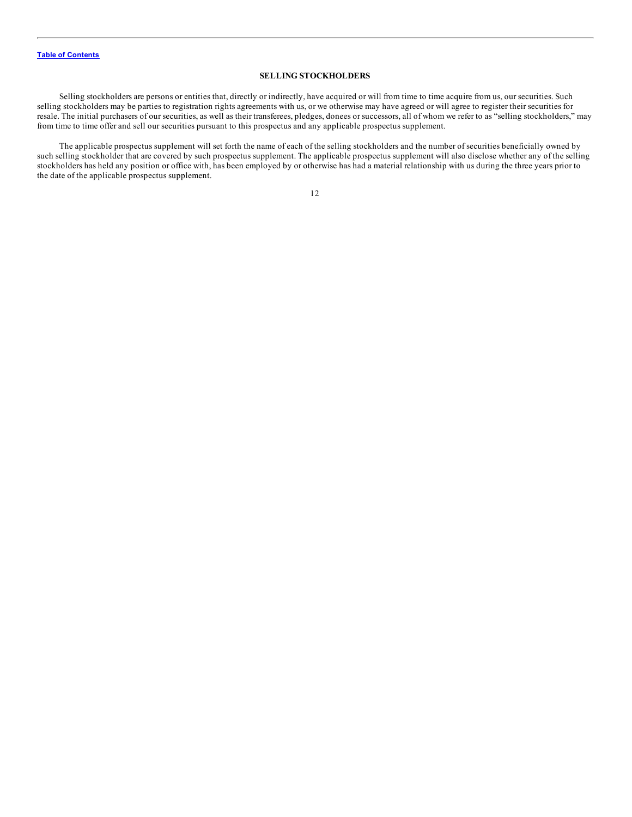## **SELLING STOCKHOLDERS**

<span id="page-31-0"></span>Selling stockholders are persons or entities that, directly or indirectly, have acquired or will from time to time acquire from us, our securities. Such selling stockholders may be parties to registration rights agreements with us, or we otherwise may have agreed or will agree to register their securities for resale. The initial purchasers of our securities, as well as their transferees, pledges, donees or successors, all of whom we refer to as "selling stockholders," may from time to time offer and sell our securities pursuant to this prospectus and any applicable prospectus supplement.

The applicable prospectus supplement will set forth the name of each of the selling stockholders and the number of securities beneficially owned by such selling stockholder that are covered by such prospectus supplement. The applicable prospectus supplement will also disclose whether any of the selling stockholders has held any position or office with, has been employed by or otherwise has had a material relationship with us during the three years prior to the date of the applicable prospectus supplement.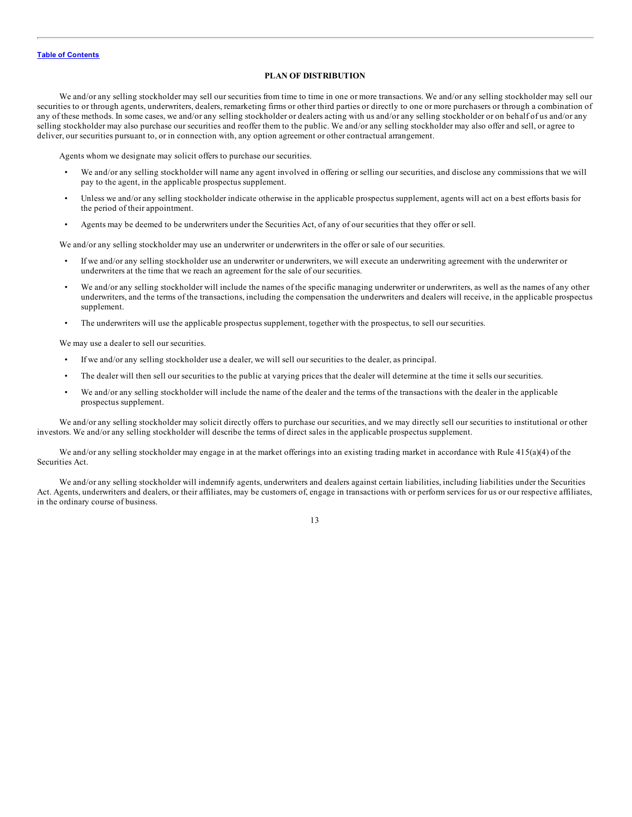#### **PLAN OF DISTRIBUTION**

<span id="page-32-0"></span>We and/or any selling stockholder may sell our securities from time to time in one or more transactions. We and/or any selling stockholder may sell our securities to or through agents, underwriters, dealers, remarketing firms or other third parties or directly to one or more purchasers or through a combination of any of these methods. In some cases, we and/or any selling stockholder or dealers acting with us and/or any selling stockholder or on behalf of us and/or any selling stockholder may also purchase our securities and reoffer them to the public. We and/or any selling stockholder may also offer and sell, or agree to deliver, our securities pursuant to, or in connection with, any option agreement or other contractual arrangement.

Agents whom we designate may solicit offers to purchase our securities.

- We and/or any selling stockholder will name any agent involved in offering or selling our securities, and disclose any commissions that we will pay to the agent, in the applicable prospectus supplement.
- Unless we and/or any selling stockholder indicate otherwise in the applicable prospectus supplement, agents will act on a best efforts basis for the period of their appointment.
- Agents may be deemed to be underwriters under the Securities Act, of any of our securities that they offer or sell.

We and/or any selling stockholder may use an underwriter or underwriters in the offer or sale of our securities.

- If we and/or any selling stockholder use an underwriter or underwriters, we will execute an underwriting agreement with the underwriter or underwriters at the time that we reach an agreement for the sale of our securities.
- We and/or any selling stockholder will include the names of the specific managing underwriter or underwriters, as well as the names of any other underwriters, and the terms of the transactions, including the compensation the underwriters and dealers will receive, in the applicable prospectus supplement.
- The underwriters will use the applicable prospectus supplement, together with the prospectus, to sell our securities.

We may use a dealer to sell our securities.

- If we and/or any selling stockholder use a dealer, we will sell our securities to the dealer, as principal.
- The dealer will then sell our securities to the public at varying prices that the dealer will determine at the time it sells our securities.
- We and/or any selling stockholder will include the name of the dealer and the terms of the transactions with the dealer in the applicable prospectus supplement.

We and/or any selling stockholder may solicit directly offers to purchase our securities, and we may directly sell our securities to institutional or other investors. We and/or any selling stockholder will describe the terms of direct sales in the applicable prospectus supplement.

We and/or any selling stockholder may engage in at the market offerings into an existing trading market in accordance with Rule 415(a)(4) of the Securities Act.

We and/or any selling stockholder will indemnify agents, underwriters and dealers against certain liabilities, including liabilities under the Securities Act. Agents, underwriters and dealers, or their affiliates, may be customers of, engage in transactions with or perform services for us or our respective affiliates, in the ordinary course of business.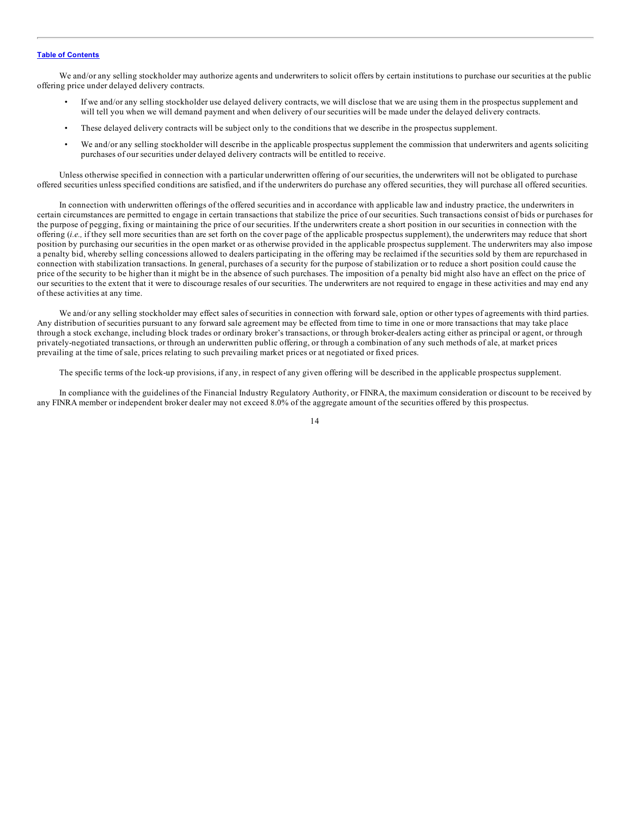We and/or any selling stockholder may authorize agents and underwriters to solicit offers by certain institutions to purchase our securities at the public offering price under delayed delivery contracts.

- If we and/or any selling stockholder use delayed delivery contracts, we will disclose that we are using them in the prospectus supplement and will tell you when we will demand payment and when delivery of our securities will be made under the delayed delivery contracts.
- These delayed delivery contracts will be subject only to the conditions that we describe in the prospectus supplement.
- We and/or any selling stockholder will describe in the applicable prospectus supplement the commission that underwriters and agents soliciting purchases of our securities under delayed delivery contracts will be entitled to receive.

Unless otherwise specified in connection with a particular underwritten offering of our securities, the underwriters will not be obligated to purchase offered securities unless specified conditions are satisfied, and if the underwriters do purchase any offered securities, they will purchase all offered securities.

In connection with underwritten offerings of the offered securities and in accordance with applicable law and industry practice, the underwriters in certain circumstances are permitted to engage in certain transactions that stabilize the price of our securities. Such transactions consist of bids or purchases for the purpose of pegging, fixing or maintaining the price of our securities. If the underwriters create a short position in our securities in connection with the offering (*i.e.,* if they sell more securities than are set forth on the cover page of the applicable prospectus supplement), the underwriters may reduce that short position by purchasing our securities in the open market or as otherwise provided in the applicable prospectus supplement. The underwriters may also impose a penalty bid, whereby selling concessions allowed to dealers participating in the offering may be reclaimed if the securities sold by them are repurchased in connection with stabilization transactions. In general, purchases of a security for the purpose of stabilization or to reduce a short position could cause the price of the security to be higher than it might be in the absence of such purchases. The imposition of a penalty bid might also have an effect on the price of our securities to the extent that it were to discourage resales of our securities. The underwriters are not required to engage in these activities and may end any of these activities at any time.

We and/or any selling stockholder may effect sales of securities in connection with forward sale, option or other types of agreements with third parties. Any distribution of securities pursuant to any forward sale agreement may be effected from time to time in one or more transactions that may take place through a stock exchange, including block trades or ordinary broker's transactions, or through broker-dealers acting either as principal or agent, or through privately-negotiated transactions, or through an underwritten public offering, or through a combination of any such methods of ale, at market prices prevailing at the time of sale, prices relating to such prevailing market prices or at negotiated or fixed prices.

The specific terms of the lock-up provisions, if any, in respect of any given offering will be described in the applicable prospectus supplement.

In compliance with the guidelines of the Financial Industry Regulatory Authority, or FINRA, the maximum consideration or discount to be received by any FINRA member or independent broker dealer may not exceed 8.0% of the aggregate amount of the securities offered by this prospectus.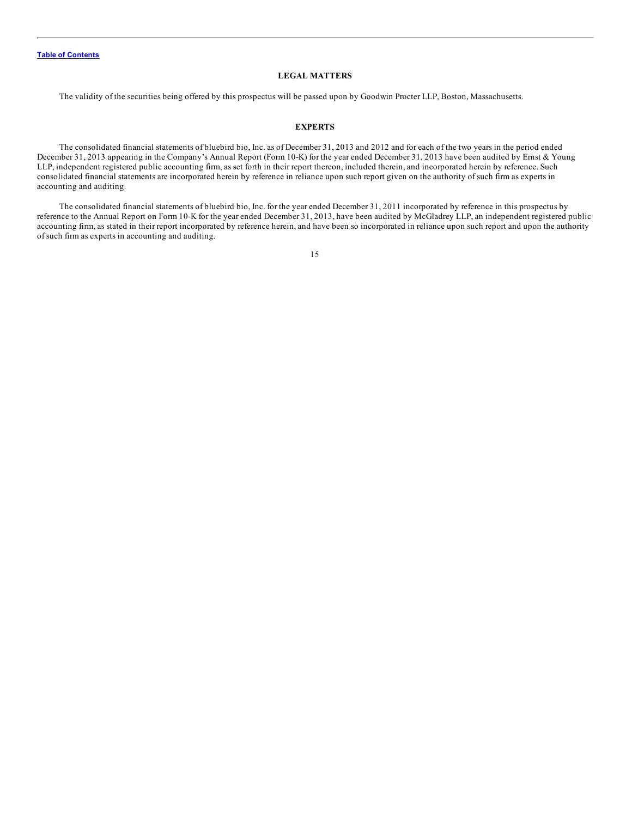#### **LEGAL MATTERS**

<span id="page-34-0"></span>The validity of the securities being offered by this prospectus will be passed upon by Goodwin Procter LLP, Boston, Massachusetts.

#### **EXPERTS**

The consolidated financial statements of bluebird bio, Inc. as of December 31, 2013 and 2012 and for each of the two years in the period ended December 31, 2013 appearing in the Company's Annual Report (Form 10-K) for the year ended December 31, 2013 have been audited by Ernst & Young LLP, independent registered public accounting firm, as set forth in their report thereon, included therein, and incorporated herein by reference. Such consolidated financial statements are incorporated herein by reference in reliance upon such report given on the authority of such firm as experts in accounting and auditing.

The consolidated financial statements of bluebird bio, Inc. for the year ended December 31, 2011 incorporated by reference in this prospectus by reference to the Annual Report on Form 10-K for the year ended December 31, 2013, have been audited by McGladrey LLP, an independent registered public accounting firm, as stated in their report incorporated by reference herein, and have been so incorporated in reliance upon such report and upon the authority of such firm as experts in accounting and auditing.